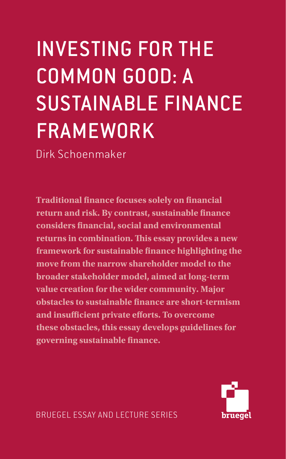# INVESTING FOR THE COMMON GOOD: A SUSTAINABLE FINANCE FRAMEWORK

Dirk Schoenmaker

**Traditional finance focuses solely on financial return and risk. By contrast, sustainable finance considers financial, social and environmental returns in combination. This essay provides a new framework for sustainable finance highlighting the move from the narrow shareholder model to the broader stakeholder model, aimed at long-term value creation for the wider community. Major obstacles to sustainable finance are short-termism and insufficient private efforts. To overcome these obstacles, this essay develops guidelines for governing sustainable finance.**

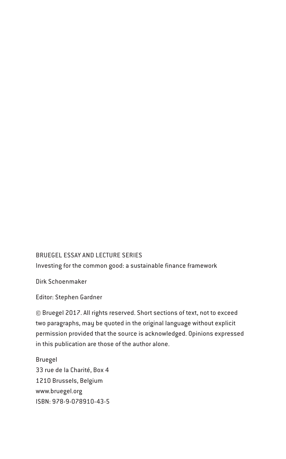#### BRUEGEL ESSAY AND LECTURE SERIES

Investing for the common good: a sustainable finance framework

Dirk Schoenmaker

Editor: Stephen Gardner

© Bruegel 2017. All rights reserved. Short sections of text, not to exceed two paragraphs, may be quoted in the original language without explicit permission provided that the source is acknowledged. Opinions expressed in this publication are those of the author alone.

Bruegel 33 rue de la Charité, Box 4 1210 Brussels, Belgium www.bruegel.org ISBN: 978-9-078910-43-5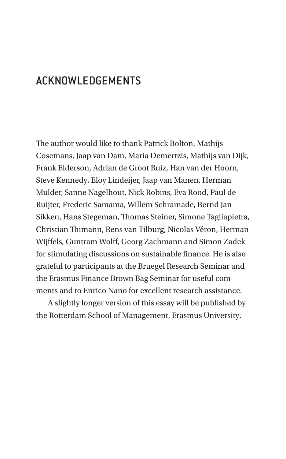# ACKNOWLEDGEMENTS

The author would like to thank Patrick Bolton, Mathijs Cosemans, Jaap van Dam, Maria Demertzis, Mathijs van Dijk, Frank Elderson, Adrian de Groot Ruiz, Han van der Hoorn, Steve Kennedy, Eloy Lindeijer, Jaap van Manen, Herman Mulder, Sanne Nagelhout, Nick Robins, Eva Rood, Paul de Ruijter, Frederic Samama, Willem Schramade, Bernd Jan Sikken, Hans Stegeman, Thomas Steiner, Simone Tagliapietra, Christian Thimann, Rens van Tilburg, Nicolas Véron, Herman Wijffels, Guntram Wolff, Georg Zachmann and Simon Zadek for stimulating discussions on sustainable finance. He is also grateful to participants at the Bruegel Research Seminar and the Erasmus Finance Brown Bag Seminar for useful comments and to Enrico Nano for excellent research assistance.

A slightly longer version of this essay will be published by the Rotterdam School of Management, Erasmus University.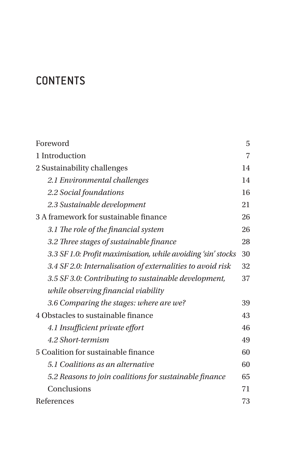# **CONTENTS**

| Foreword                                                     | 5              |
|--------------------------------------------------------------|----------------|
| 1 Introduction                                               | $\overline{7}$ |
| 2 Sustainability challenges                                  | 14             |
| 2.1 Environmental challenges                                 | 14             |
| 2.2 Social foundations                                       | 16             |
| 2.3 Sustainable development                                  | 21             |
| 3 A framework for sustainable finance                        | 26             |
| 3.1 The role of the financial system                         | 26             |
| 3.2 Three stages of sustainable finance                      | 28             |
| 3.3 SF 1.0: Profit maximisation, while avoiding 'sin' stocks | 30             |
| 3.4 SF 2.0: Internalisation of externalities to avoid risk   | 32             |
| 3.5 SF 3.0: Contributing to sustainable development,         | 37             |
| while observing financial viability                          |                |
| 3.6 Comparing the stages: where are we?                      | 39             |
| 4 Obstacles to sustainable finance                           | 43             |
| 4.1 Insufficient private effort                              | 46             |
| 4.2 Short-termism                                            | 49             |
| 5 Coalition for sustainable finance                          | 60             |
| 5.1 Coalitions as an alternative                             | 60             |
| 5.2 Reasons to join coalitions for sustainable finance       | 65             |
| Conclusions                                                  | 71             |
| References                                                   | 73             |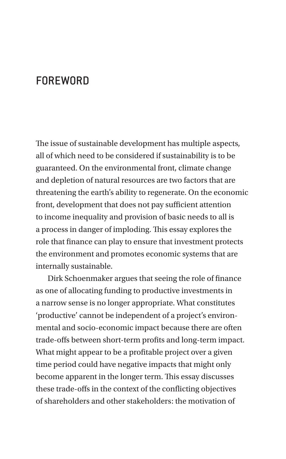# **FOREWORD**

The issue of sustainable development has multiple aspects, all of which need to be considered if sustainability is to be guaranteed. On the environmental front, climate change and depletion of natural resources are two factors that are threatening the earth's ability to regenerate. On the economic front, development that does not pay sufficient attention to income inequality and provision of basic needs to all is a process in danger of imploding. This essay explores the role that finance can play to ensure that investment protects the environment and promotes economic systems that are internally sustainable.

Dirk Schoenmaker argues that seeing the role of finance as one of allocating funding to productive investments in a narrow sense is no longer appropriate. What constitutes 'productive' cannot be independent of a project's environmental and socio-economic impact because there are often trade-offs between short-term profits and long-term impact. What might appear to be a profitable project over a given time period could have negative impacts that might only become apparent in the longer term. This essay discusses these trade-offs in the context of the conflicting objectives of shareholders and other stakeholders: the motivation of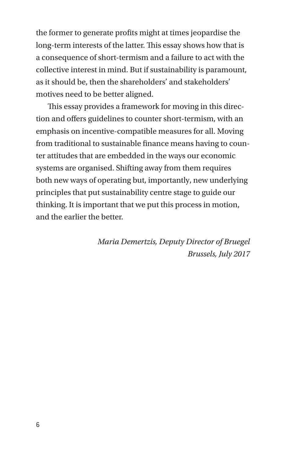<span id="page-5-0"></span>the former to generate profits might at times jeopardise the long-term interests of the latter. This essay shows how that is a consequence of short-termism and a failure to act with the collective interest in mind. But if sustainability is paramount, as it should be, then the shareholders' and stakeholders' motives need to be better aligned.

This essay provides a framework for moving in this direction and offers guidelines to counter short-termism, with an emphasis on incentive-compatible measures for all. Moving from traditional to sustainable finance means having to counter attitudes that are embedded in the ways our economic systems are organised. Shifting away from them requires both new ways of operating but, importantly, new underlying principles that put sustainability centre stage to guide our thinking. It is important that we put this process in motion, and the earlier the better.

> *Maria Demertzis, Deputy Director of Bruegel Brussels, July 2017*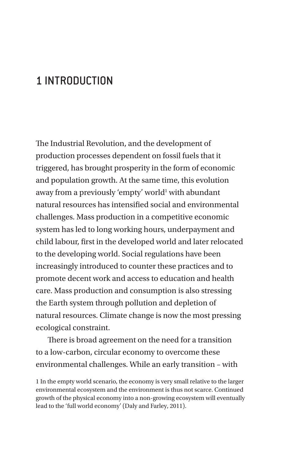# 1 INTRODUCTION

The Industrial Revolution, and the development of production processes dependent on fossil fuels that it triggered, has brought prosperity in the form of economic and population growth. At the same time, this evolution away from a previously 'empty' world<sup>1</sup> with abundant natural resources has intensified social and environmental challenges. Mass production in a competitive economic system has led to long working hours, underpayment and child labour, first in the developed world and later relocated to the developing world. Social regulations have been increasingly introduced to counter these practices and to promote decent work and access to education and health care. Mass production and consumption is also stressing the Earth system through pollution and depletion of natural resources. Climate change is now the most pressing ecological constraint.

There is broad agreement on the need for a transition to a low-carbon, circular economy to overcome these environmental challenges. While an early transition – with

1 In the empty world scenario, the economy is very small relative to the larger environmental ecosystem and the environment is thus not scarce. Continued growth of the physical economy into a non-growing ecosystem will eventually lead to the 'full world economy' (Daly and Farley, 2011).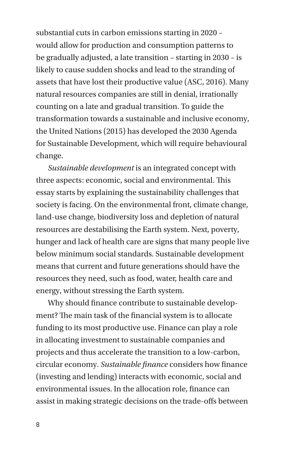<span id="page-7-0"></span>substantial cuts in carbon emissions starting in 2020 – would allow for production and consumption patterns to be gradually adjusted, a late transition – starting in 2030 – is likely to cause sudden shocks and lead to the stranding of assets that have lost their productive value (ASC, 2016). Many natural resources companies are still in denial, irrationally counting on a late and gradual transition. To guide the transformation towards a sustainable and inclusive economy, the United Nations (2015) has developed the 2030 Agenda for Sustainable Development, which will require behavioural change.

*Sustainable development* is an integrated concept with three aspects: economic, social and environmental. This essay starts by explaining the sustainability challenges that society is facing. On the environmental front, climate change, land-use change, biodiversity loss and depletion of natural resources are destabilising the Earth system. Next, poverty, hunger and lack of health care are signs that many people live below minimum social standards. Sustainable development means that current and future generations should have the resources they need, such as food, water, health care and energy, without stressing the Earth system.

Why should finance contribute to sustainable development? The main task of the financial system is to allocate funding to its most productive use. Finance can play a role in allocating investment to sustainable companies and projects and thus accelerate the transition to a low-carbon, circular economy. *Sustainable finance* considers how finance (investing and lending) interacts with economic, social and environmental issues. In the allocation role, finance can assist in making strategic decisions on the trade-offs between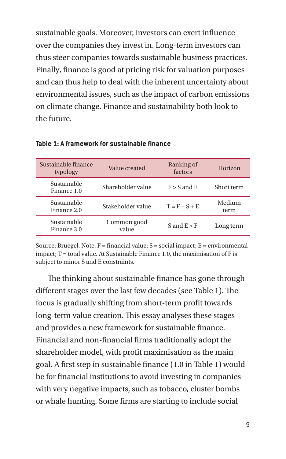sustainable goals. Moreover, investors can exert influence over the companies they invest in. Long-term investors can thus steer companies towards sustainable business practices. Finally, finance is good at pricing risk for valuation purposes and can thus help to deal with the inherent uncertainty about environmental issues, such as the impact of carbon emissions on climate change. Finance and sustainability both look to the future.

| Sustainable finance<br>typology | Value created        | Ranking of<br>factors | Horizon        |
|---------------------------------|----------------------|-----------------------|----------------|
| Sustainable<br>Finance 1.0      | Shareholder value    | $F > S$ and E         | Short term     |
| Sustainable<br>Finance 2.0      | Stakeholder value    | $T = F + S + E$       | Medium<br>term |
| Sustainable<br>Finance 3.0      | Common good<br>value | S and $E > F$         | Long term      |

**Table 1: A framework for sustainable finance**

Source: Bruegel. Note:  $F =$  financial value:  $S =$  social impact:  $E =$  environmental  $impact$ :  $T = total value$ . At Sustainable Finance 1.0, the maximisation of F is subject to minor S and E constraints.

The thinking about sustainable finance has gone through different stages over the last few decades (see Table 1). The focus is gradually shifting from short-term profit towards long-term value creation. This essay analyses these stages and provides a new framework for sustainable finance. Financial and non-financial firms traditionally adopt the shareholder model, with profit maximisation as the main goal. A first step in sustainable finance (1.0 in Table 1) would be for financial institutions to avoid investing in companies with very negative impacts, such as tobacco, cluster bombs or whale hunting. Some firms are starting to include social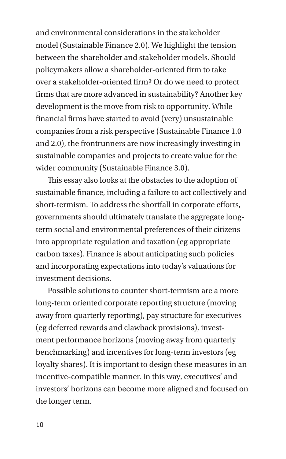and environmental considerations in the stakeholder model (Sustainable Finance 2.0). We highlight the tension between the shareholder and stakeholder models. Should policymakers allow a shareholder-oriented firm to take over a stakeholder-oriented firm? Or do we need to protect firms that are more advanced in sustainability? Another key development is the move from risk to opportunity. While financial firms have started to avoid (very) unsustainable companies from a risk perspective (Sustainable Finance 1.0 and 2.0), the frontrunners are now increasingly investing in sustainable companies and projects to create value for the wider community (Sustainable Finance 3.0).

This essay also looks at the obstacles to the adoption of sustainable finance, including a failure to act collectively and short-termism. To address the shortfall in corporate efforts, governments should ultimately translate the aggregate longterm social and environmental preferences of their citizens into appropriate regulation and taxation (eg appropriate carbon taxes). Finance is about anticipating such policies and incorporating expectations into today's valuations for investment decisions.

Possible solutions to counter short-termism are a more long-term oriented corporate reporting structure (moving away from quarterly reporting), pay structure for executives (eg deferred rewards and clawback provisions), investment performance horizons (moving away from quarterly benchmarking) and incentives for long-term investors (eg loyalty shares). It is important to design these measures in an incentive-compatible manner. In this way, executives' and investors' horizons can become more aligned and focused on the longer term.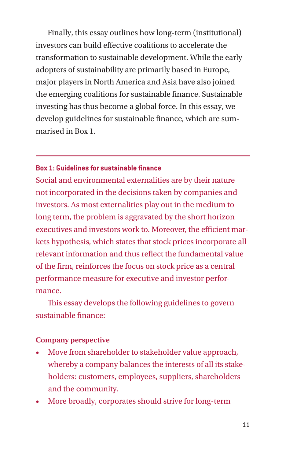Finally, this essay outlines how long-term (institutional) investors can build effective coalitions to accelerate the transformation to sustainable development. While the early adopters of sustainability are primarily based in Europe, major players in North America and Asia have also joined the emerging coalitions for sustainable finance. Sustainable investing has thus become a global force. In this essay, we develop guidelines for sustainable finance, which are summarised in Box 1.

#### **Box 1: Guidelines for sustainable finance**

Social and environmental externalities are by their nature not incorporated in the decisions taken by companies and investors. As most externalities play out in the medium to long term, the problem is aggravated by the short horizon executives and investors work to. Moreover, the efficient markets hypothesis, which states that stock prices incorporate all relevant information and thus reflect the fundamental value of the firm, reinforces the focus on stock price as a central performance measure for executive and investor performance.

This essay develops the following guidelines to govern sustainable finance:

#### **Company perspective**

- Move from shareholder to stakeholder value approach, whereby a company balances the interests of all its stakeholders: customers, employees, suppliers, shareholders and the community.
- More broadly, corporates should strive for long-term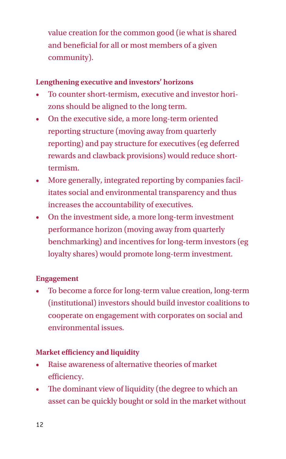value creation for the common good (ie what is shared and beneficial for all or most members of a given community).

## **Lengthening executive and investors' horizons**

- To counter short-termism, executive and investor horizons should be aligned to the long term.
- On the executive side, a more long-term oriented reporting structure (moving away from quarterly reporting) and pay structure for executives (eg deferred rewards and clawback provisions) would reduce shorttermism.
- More generally, integrated reporting by companies facilitates social and environmental transparency and thus increases the accountability of executives.
- On the investment side, a more long-term investment performance horizon (moving away from quarterly benchmarking) and incentives for long-term investors (eg loyalty shares) would promote long-term investment.

# **Engagement**

• To become a force for long-term value creation, long-term (institutional) investors should build investor coalitions to cooperate on engagement with corporates on social and environmental issues.

# **Market efficiency and liquidity**

- Raise awareness of alternative theories of market efficiency.
- The dominant view of liquidity (the degree to which an asset can be quickly bought or sold in the market without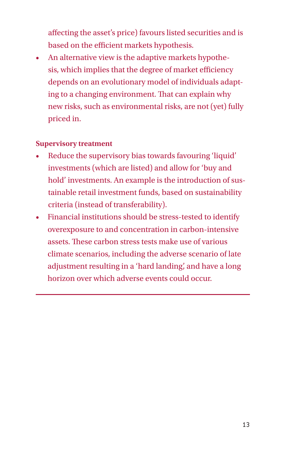affecting the asset's price) favours listed securities and is based on the efficient markets hypothesis.

• An alternative view is the adaptive markets hypothesis, which implies that the degree of market efficiency depends on an evolutionary model of individuals adapting to a changing environment. That can explain why new risks, such as environmental risks, are not (yet) fully priced in.

## **Supervisory treatment**

- Reduce the supervisory bias towards favouring 'liquid' investments (which are listed) and allow for 'buy and hold' investments. An example is the introduction of sustainable retail investment funds, based on sustainability criteria (instead of transferability).
- Financial institutions should be stress-tested to identify overexposure to and concentration in carbon-intensive assets. These carbon stress tests make use of various climate scenarios, including the adverse scenario of late adjustment resulting in a 'hard landing', and have a long horizon over which adverse events could occur.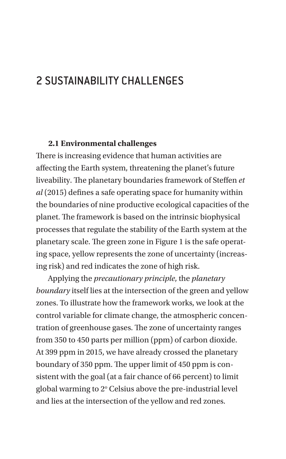# 2 SUSTAINABILITY CHALLENGES

#### **2.1 Environmental challenges**

There is increasing evidence that human activities are affecting the Earth system, threatening the planet's future liveability. The planetary boundaries framework of Steffen *et al* (2015) defines a safe operating space for humanity within the boundaries of nine productive ecological capacities of the planet. The framework is based on the intrinsic biophysical processes that regulate the stability of the Earth system at the planetary scale. The green zone in Figure 1 is the safe operating space, yellow represents the zone of uncertainty (increasing risk) and red indicates the zone of high risk.

Applying the *precautionary principle*, the *planetary boundary* itself lies at the intersection of the green and yellow zones. To illustrate how the framework works, we look at the control variable for climate change, the atmospheric concentration of greenhouse gases. The zone of uncertainty ranges from 350 to 450 parts per million (ppm) of carbon dioxide. At 399 ppm in 2015, we have already crossed the planetary boundary of 350 ppm. The upper limit of 450 ppm is consistent with the goal (at a fair chance of 66 percent) to limit global warming to 2° Celsius above the pre-industrial level and lies at the intersection of the yellow and red zones.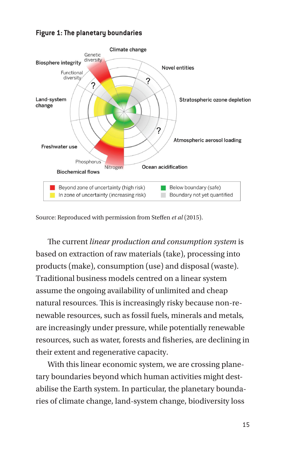

#### **Figure 1: The planetary boundaries**

Source: Reproduced with permission from Steffen *et al* (2015).

The current *linear production and consumption system* is based on extraction of raw materials (take), processing into products (make), consumption (use) and disposal (waste). Traditional business models centred on a linear system assume the ongoing availability of unlimited and cheap natural resources. This is increasingly risky because non-renewable resources, such as fossil fuels, minerals and metals, are increasingly under pressure, while potentially renewable resources, such as water, forests and fisheries, are declining in their extent and regenerative capacity.

With this linear economic system, we are crossing planetary boundaries beyond which human activities might destabilise the Earth system. In particular, the planetary boundaries of climate change, land-system change, biodiversity loss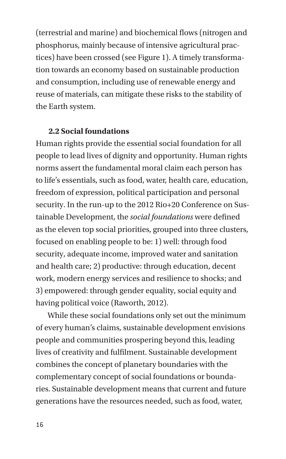(terrestrial and marine) and biochemical flows (nitrogen and phosphorus, mainly because of intensive agricultural practices) have been crossed (see Figure 1). A timely transformation towards an economy based on sustainable production and consumption, including use of renewable energy and reuse of materials, can mitigate these risks to the stability of the Earth system.

#### **2.2 Social foundations**

Human rights provide the essential social foundation for all people to lead lives of dignity and opportunity. Human rights norms assert the fundamental moral claim each person has to life's essentials, such as food, water, health care, education, freedom of expression, political participation and personal security. In the run-up to the 2012 Rio+20 Conference on Sustainable Development, the *social foundations* were defined as the eleven top social priorities, grouped into three clusters, focused on enabling people to be: 1) well: through food security, adequate income, improved water and sanitation and health care; 2) productive: through education, decent work, modern energy services and resilience to shocks; and 3) empowered: through gender equality, social equity and having political voice (Raworth, 2012).

While these social foundations only set out the minimum of every human's claims, sustainable development envisions people and communities prospering beyond this, leading lives of creativity and fulfilment. Sustainable development combines the concept of planetary boundaries with the complementary concept of social foundations or boundaries. Sustainable development means that current and future generations have the resources needed, such as food, water,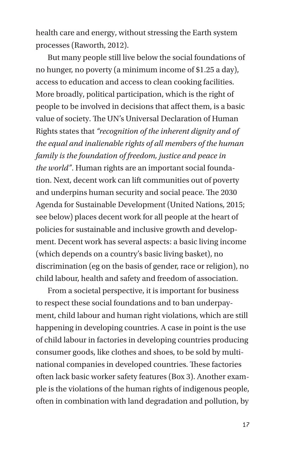health care and energy, without stressing the Earth system processes (Raworth, 2012).

But many people still live below the social foundations of no hunger, no poverty (a minimum income of \$1.25 a day), access to education and access to clean cooking facilities. More broadly, political participation, which is the right of people to be involved in decisions that affect them, is a basic value of society. The UN's Universal Declaration of Human Rights states that *"recognition of the inherent dignity and of the equal and inalienable rights of all members of the human family is the foundation of freedom, justice and peace in the world"*. Human rights are an important social foundation. Next, decent work can lift communities out of poverty and underpins human security and social peace. The 2030 Agenda for Sustainable Development (United Nations, 2015; see below) places decent work for all people at the heart of policies for sustainable and inclusive growth and development. Decent work has several aspects: a basic living income (which depends on a country's basic living basket), no discrimination (eg on the basis of gender, race or religion), no child labour, health and safety and freedom of association.

From a societal perspective, it is important for business to respect these social foundations and to ban underpayment, child labour and human right violations, which are still happening in developing countries. A case in point is the use of child labour in factories in developing countries producing consumer goods, like clothes and shoes, to be sold by multinational companies in developed countries. These factories often lack basic worker safety features (Box 3). Another example is the violations of the human rights of indigenous people, often in combination with land degradation and pollution, by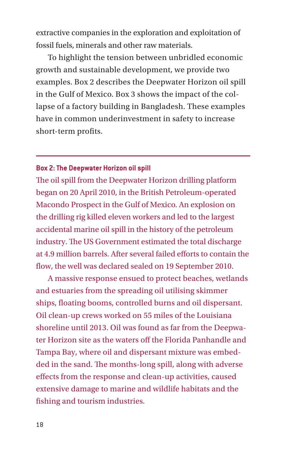extractive companies in the exploration and exploitation of fossil fuels, minerals and other raw materials.

To highlight the tension between unbridled economic growth and sustainable development, we provide two examples. Box 2 describes the Deepwater Horizon oil spill in the Gulf of Mexico. Box 3 shows the impact of the collapse of a factory building in Bangladesh. These examples have in common underinvestment in safety to increase short-term profits.

#### **Box 2: The Deepwater Horizon oil spill**

The oil spill from the Deepwater Horizon drilling platform began on 20 April 2010, in the British Petroleum-operated Macondo Prospect in the Gulf of Mexico. An explosion on the drilling rig killed eleven workers and led to the largest accidental marine oil spill in the history of the petroleum industry. The US Government estimated the total discharge at 4.9 million barrels. After several failed efforts to contain the flow, the well was declared sealed on 19 September 2010.

A massive response ensued to protect beaches, wetlands and estuaries from the spreading oil utilising skimmer ships, floating booms, controlled burns and oil dispersant. Oil clean-up crews worked on 55 miles of the Louisiana shoreline until 2013. Oil was found as far from the Deepwater Horizon site as the waters off the Florida Panhandle and Tampa Bay, where oil and dispersant mixture was embedded in the sand. The months-long spill, along with adverse effects from the response and clean-up activities, caused extensive damage to marine and wildlife habitats and the fishing and tourism industries.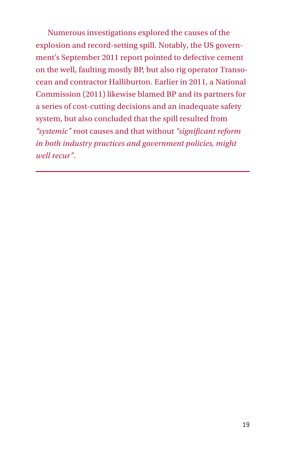Numerous investigations explored the causes of the explosion and record-setting spill. Notably, the US government's September 2011 report pointed to defective cement on the well, faulting mostly BP, but also rig operator Transocean and contractor Halliburton. Earlier in 2011, a National Commission (2011) likewise blamed BP and its partners for a series of cost-cutting decisions and an inadequate safety system, but also concluded that the spill resulted from *"systemic"* root causes and that without *"significant reform in both industry practices and government policies, might well recur"*.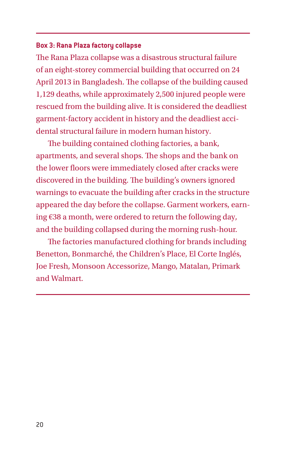#### **Box 3: Rana Plaza factory collapse**

The Rana Plaza collapse was a disastrous structural failure of an eight-storey commercial building that occurred on 24 April 2013 in Bangladesh. The collapse of the building caused 1,129 deaths, while approximately 2,500 injured people were rescued from the building alive. It is considered the deadliest garment-factory accident in history and the deadliest accidental structural failure in modern human history.

The building contained clothing factories, a bank, apartments, and several shops. The shops and the bank on the lower floors were immediately closed after cracks were discovered in the building. The building's owners ignored warnings to evacuate the building after cracks in the structure appeared the day before the collapse. Garment workers, earning €38 a month, were ordered to return the following day, and the building collapsed during the morning rush-hour.

The factories manufactured clothing for brands including Benetton, Bonmarché, the Children's Place, El Corte Inglés, Joe Fresh, Monsoon Accessorize, Mango, Matalan, Primark and Walmart.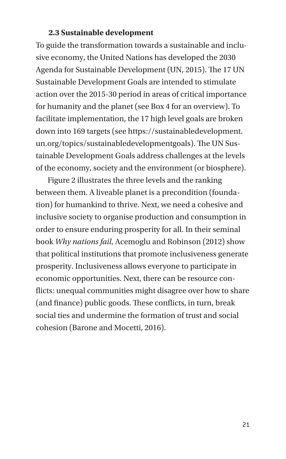#### **2.3 Sustainable development**

To guide the transformation towards a sustainable and inclusive economy, the United Nations has developed the 2030 Agenda for Sustainable Development (UN, 2015). The 17 UN Sustainable Development Goals are intended to stimulate action over the 2015-30 period in areas of critical importance for humanity and the planet (see Box 4 for an overview). To facilitate implementation, the 17 high level goals are broken down into 169 targets (see https://sustainabledevelopment. un.org/topics/sustainabledevelopmentgoals). The UN Sustainable Development Goals address challenges at the levels of the economy, society and the environment (or biosphere).

Figure 2 illustrates the three levels and the ranking between them. A liveable planet is a precondition (foundation) for humankind to thrive. Next, we need a cohesive and inclusive society to organise production and consumption in order to ensure enduring prosperity for all. In their seminal book *Why nations fail*, Acemoglu and Robinson (2012) show that political institutions that promote inclusiveness generate prosperity. Inclusiveness allows everyone to participate in economic opportunities. Next, there can be resource conflicts: unequal communities might disagree over how to share (and finance) public goods. These conflicts, in turn, break social ties and undermine the formation of trust and social cohesion (Barone and Mocetti, 2016).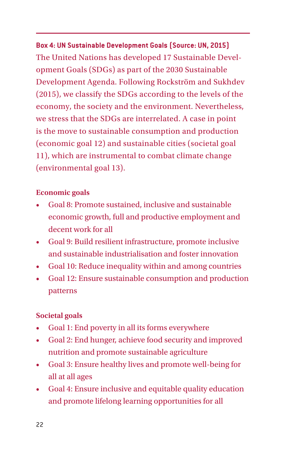**Box 4: UN Sustainable Development Goals (Source: UN, 2015)** The United Nations has developed 17 Sustainable Development Goals (SDGs) as part of the 2030 Sustainable Development Agenda. Following Rockström and Sukhdev (2015), we classify the SDGs according to the levels of the economy, the society and the environment. Nevertheless, we stress that the SDGs are interrelated. A case in point is the move to sustainable consumption and production (economic goal 12) and sustainable cities (societal goal 11), which are instrumental to combat climate change (environmental goal 13).

## **Economic goals**

- Goal 8: Promote sustained, inclusive and sustainable economic growth, full and productive employment and decent work for all
- Goal 9: Build resilient infrastructure, promote inclusive and sustainable industrialisation and foster innovation
- Goal 10: Reduce inequality within and among countries
- Goal 12: Ensure sustainable consumption and production patterns

#### **Societal goals**

- Goal 1: End poverty in all its forms everywhere
- Goal 2: End hunger, achieve food security and improved nutrition and promote sustainable agriculture
- Goal 3: Ensure healthy lives and promote well-being for all at all ages
- Goal 4: Ensure inclusive and equitable quality education and promote lifelong learning opportunities for all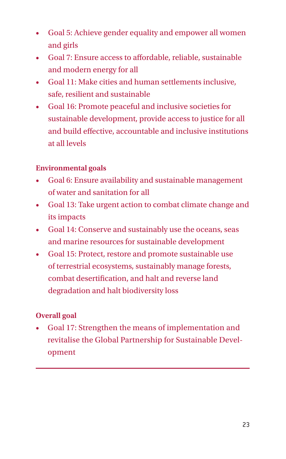- Goal 5: Achieve gender equality and empower all women and girls
- Goal 7: Ensure access to affordable, reliable, sustainable and modern energy for all
- Goal 11: Make cities and human settlements inclusive, safe, resilient and sustainable
- Goal 16: Promote peaceful and inclusive societies for sustainable development, provide access to justice for all and build effective, accountable and inclusive institutions at all levels

# **Environmental goals**

- Goal 6: Ensure availability and sustainable management of water and sanitation for all
- Goal 13: Take urgent action to combat climate change and its impacts
- Goal 14: Conserve and sustainably use the oceans, seas and marine resources for sustainable development
- Goal 15: Protect, restore and promote sustainable use of terrestrial ecosystems, sustainably manage forests, combat desertification, and halt and reverse land degradation and halt biodiversity loss

# **Overall goal**

• Goal 17: Strengthen the means of implementation and revitalise the Global Partnership for Sustainable Development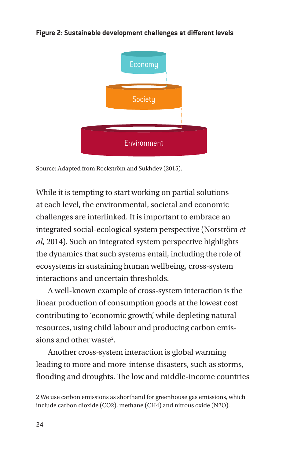



Source: Adapted from Rockström and Sukhdev (2015).

While it is tempting to start working on partial solutions at each level, the environmental, societal and economic challenges are interlinked. It is important to embrace an integrated social-ecological system perspective (Norström *et al*, 2014). Such an integrated system perspective highlights the dynamics that such systems entail, including the role of ecosystems in sustaining human wellbeing, cross-system interactions and uncertain thresholds.

A well-known example of cross-system interaction is the linear production of consumption goods at the lowest cost contributing to 'economic growth', while depleting natural resources, using child labour and producing carbon emissions and other waste<sup>2</sup>.

Another cross-system interaction is global warming leading to more and more-intense disasters, such as storms, flooding and droughts. The low and middle-income countries

<sup>2</sup> We use carbon emissions as shorthand for greenhouse gas emissions, which include carbon dioxide (CO2), methane (CH4) and nitrous oxide (N2O).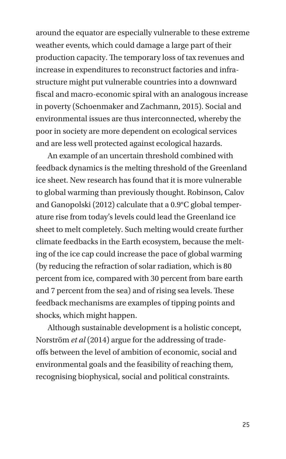around the equator are especially vulnerable to these extreme weather events, which could damage a large part of their production capacity. The temporary loss of tax revenues and increase in expenditures to reconstruct factories and infrastructure might put vulnerable countries into a downward fiscal and macro-economic spiral with an analogous increase in poverty (Schoenmaker and Zachmann, 2015). Social and environmental issues are thus interconnected, whereby the poor in society are more dependent on ecological services and are less well protected against ecological hazards.

An example of an uncertain threshold combined with feedback dynamics is the melting threshold of the Greenland ice sheet. New research has found that it is more vulnerable to global warming than previously thought. Robinson, Calov and Ganopolski (2012) calculate that a 0.9°C global temperature rise from today's levels could lead the Greenland ice sheet to melt completely. Such melting would create further climate feedbacks in the Earth ecosystem, because the melting of the ice cap could increase the pace of global warming (by reducing the refraction of solar radiation, which is 80 percent from ice, compared with 30 percent from bare earth and 7 percent from the sea) and of rising sea levels. These feedback mechanisms are examples of tipping points and shocks, which might happen.

Although sustainable development is a holistic concept, Norström *et al* (2014) argue for the addressing of tradeoffs between the level of ambition of economic, social and environmental goals and the feasibility of reaching them, recognising biophysical, social and political constraints.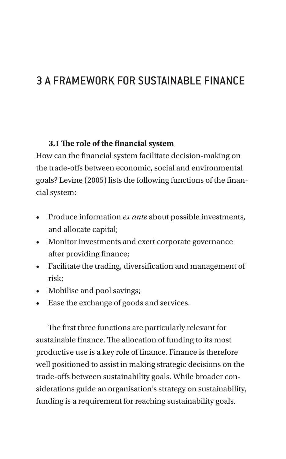# 3 A FRAMEWORK FOR SUSTAINABLE FINANCE

#### **3.1 The role of the financial system**

How can the financial system facilitate decision-making on the trade-offs between economic, social and environmental goals? Levine (2005) lists the following functions of the financial system:

- Produce information *ex ante* about possible investments, and allocate capital;
- Monitor investments and exert corporate governance after providing finance;
- Facilitate the trading, diversification and management of risk;
- Mobilise and pool savings;
- Ease the exchange of goods and services.

The first three functions are particularly relevant for sustainable finance. The allocation of funding to its most productive use is a key role of finance. Finance is therefore well positioned to assist in making strategic decisions on the trade-offs between sustainability goals. While broader considerations guide an organisation's strategy on sustainability, funding is a requirement for reaching sustainability goals.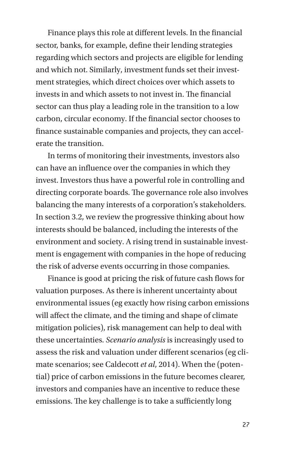Finance plays this role at different levels. In the financial sector, banks, for example, define their lending strategies regarding which sectors and projects are eligible for lending and which not. Similarly, investment funds set their investment strategies, which direct choices over which assets to invests in and which assets to not invest in. The financial sector can thus play a leading role in the transition to a low carbon, circular economy. If the financial sector chooses to finance sustainable companies and projects, they can accelerate the transition.

In terms of monitoring their investments, investors also can have an influence over the companies in which they invest. Investors thus have a powerful role in controlling and directing corporate boards. The governance role also involves balancing the many interests of a corporation's stakeholders. In section 3.2, we review the progressive thinking about how interests should be balanced, including the interests of the environment and society. A rising trend in sustainable investment is engagement with companies in the hope of reducing the risk of adverse events occurring in those companies.

Finance is good at pricing the risk of future cash flows for valuation purposes. As there is inherent uncertainty about environmental issues (eg exactly how rising carbon emissions will affect the climate, and the timing and shape of climate mitigation policies), risk management can help to deal with these uncertainties. *Scenario analysis* is increasingly used to assess the risk and valuation under different scenarios (eg climate scenarios; see Caldecott *et al*, 2014). When the (potential) price of carbon emissions in the future becomes clearer, investors and companies have an incentive to reduce these emissions. The key challenge is to take a sufficiently long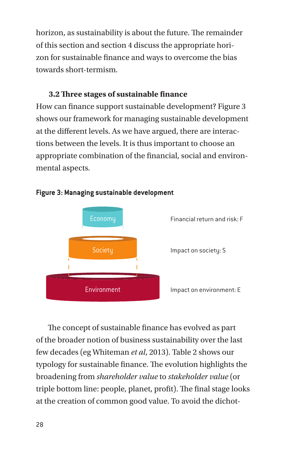horizon, as sustainability is about the future. The remainder of this section and section 4 discuss the appropriate horizon for sustainable finance and ways to overcome the bias towards short-termism.

## **3.2 Three stages of sustainable finance**

How can finance support sustainable development? Figure 3 shows our framework for managing sustainable development at the different levels. As we have argued, there are interactions between the levels. It is thus important to choose an appropriate combination of the financial, social and environmental aspects.



#### **Figure 3: Managing sustainable development**

The concept of sustainable finance has evolved as part of the broader notion of business sustainability over the last few decades (eg Whiteman *et al*, 2013). Table 2 shows our typology for sustainable finance. The evolution highlights the broadening from *shareholder value* to *stakeholder value* (or triple bottom line: people, planet, profit). The final stage looks at the creation of common good value. To avoid the dichot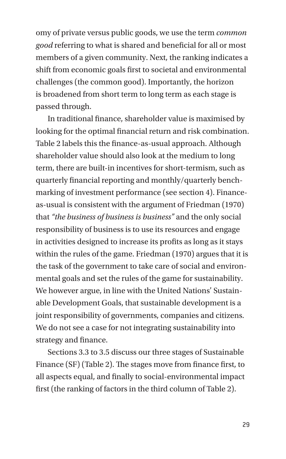omy of private versus public goods, we use the term *common good* referring to what is shared and beneficial for all or most members of a given community. Next, the ranking indicates a shift from economic goals first to societal and environmental challenges (the common good). Importantly, the horizon is broadened from short term to long term as each stage is passed through.

In traditional finance, shareholder value is maximised by looking for the optimal financial return and risk combination. Table 2 labels this the finance-as-usual approach. Although shareholder value should also look at the medium to long term, there are built-in incentives for short-termism, such as quarterly financial reporting and monthly/quarterly benchmarking of investment performance (see section 4). Financeas-usual is consistent with the argument of Friedman (1970) that *"the business of business is business"* and the only social responsibility of business is to use its resources and engage in activities designed to increase its profits as long as it stays within the rules of the game. Friedman (1970) argues that it is the task of the government to take care of social and environmental goals and set the rules of the game for sustainability. We however argue, in line with the United Nations' Sustainable Development Goals, that sustainable development is a joint responsibility of governments, companies and citizens. We do not see a case for not integrating sustainability into strategy and finance.

Sections 3.3 to 3.5 discuss our three stages of Sustainable Finance (SF) (Table 2). The stages move from finance first, to all aspects equal, and finally to social-environmental impact first (the ranking of factors in the third column of Table 2).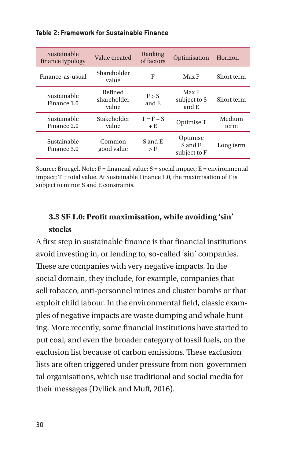|  |  | Table 2: Framework for Sustainable Finance |  |
|--|--|--------------------------------------------|--|
|--|--|--------------------------------------------|--|

| Sustainable<br>finance typology | Value created                   | Ranking<br>of factors | Optimisation                        | Horizon        |
|---------------------------------|---------------------------------|-----------------------|-------------------------------------|----------------|
| Finance-as-usual                | Shareholder<br>value            | F                     | Max F                               | Short term     |
| Sustainable<br>Finance 1.0      | Refined<br>shareholder<br>value | F > S<br>and E        | Max F<br>subject to S<br>and E      | Short term     |
| Sustainable<br>Finance 2.0      | Stakeholder<br>value            | $T = F + S$<br>$+E$   | Optimise T                          | Medium<br>term |
| Sustainable<br>Finance 3.0      | Common<br>good value            | S and E<br>$>$ F      | Optimise<br>S and E<br>subject to F | Long term      |

Source: Bruegel. Note: F = financial value; S = social impact; E = environmental impact; T = total value. At Sustainable Finance 1.0, the maximisation of F is subject to minor S and E constraints.

# **3.3 SF 1.0: Profit maximisation, while avoiding 'sin' stocks**

A first step in sustainable finance is that financial institutions avoid investing in, or lending to, so-called 'sin' companies. These are companies with very negative impacts. In the social domain, they include, for example, companies that sell tobacco, anti-personnel mines and cluster bombs or that exploit child labour. In the environmental field, classic examples of negative impacts are waste dumping and whale hunting. More recently, some financial institutions have started to put coal, and even the broader category of fossil fuels, on the exclusion list because of carbon emissions. These exclusion lists are often triggered under pressure from non-governmental organisations, which use traditional and social media for their messages (Dyllick and Muff, 2016).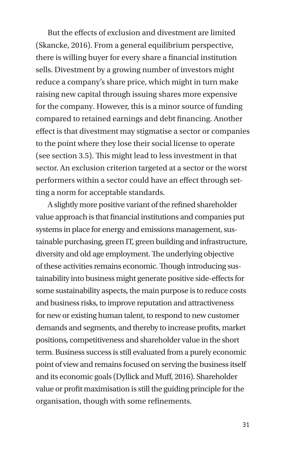But the effects of exclusion and divestment are limited (Skancke, 2016). From a general equilibrium perspective, there is willing buyer for every share a financial institution sells. Divestment by a growing number of investors might reduce a company's share price, which might in turn make raising new capital through issuing shares more expensive for the company. However, this is a minor source of funding compared to retained earnings and debt financing. Another effect is that divestment may stigmatise a sector or companies to the point where they lose their social license to operate (see section 3.5). This might lead to less investment in that sector. An exclusion criterion targeted at a sector or the worst performers within a sector could have an effect through setting a norm for acceptable standards.

A slightly more positive variant of the refined shareholder value approach is that financial institutions and companies put systems in place for energy and emissions management, sustainable purchasing, green IT, green building and infrastructure, diversity and old age employment. The underlying objective of these activities remains economic. Though introducing sustainability into business might generate positive side-effects for some sustainability aspects, the main purpose is to reduce costs and business risks, to improve reputation and attractiveness for new or existing human talent, to respond to new customer demands and segments, and thereby to increase profits, market positions, competitiveness and shareholder value in the short term. Business success is still evaluated from a purely economic point of view and remains focused on serving the business itself and its economic goals (Dyllick and Muff, 2016). Shareholder value or profit maximisation is still the guiding principle for the organisation, though with some refinements.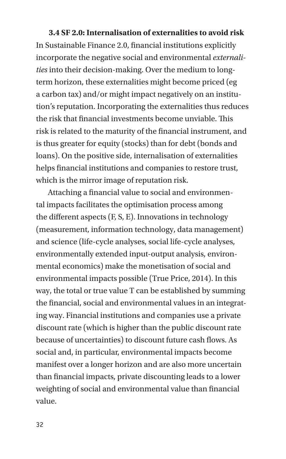#### **3.4 SF 2.0: Internalisation of externalities to avoid risk**

In Sustainable Finance 2.0, financial institutions explicitly incorporate the negative social and environmental *externalities* into their decision-making. Over the medium to longterm horizon, these externalities might become priced (eg a carbon tax) and/or might impact negatively on an institution's reputation. Incorporating the externalities thus reduces the risk that financial investments become unviable. This risk is related to the maturity of the financial instrument, and is thus greater for equity (stocks) than for debt (bonds and loans). On the positive side, internalisation of externalities helps financial institutions and companies to restore trust, which is the mirror image of reputation risk.

Attaching a financial value to social and environmental impacts facilitates the optimisation process among the different aspects (F, S, E). Innovations in technology (measurement, information technology, data management) and science (life-cycle analyses, social life-cycle analyses, environmentally extended input-output analysis, environmental economics) make the monetisation of social and environmental impacts possible (True Price, 2014). In this way, the total or true value T can be established by summing the financial, social and environmental values in an integrating way. Financial institutions and companies use a private discount rate (which is higher than the public discount rate because of uncertainties) to discount future cash flows. As social and, in particular, environmental impacts become manifest over a longer horizon and are also more uncertain than financial impacts, private discounting leads to a lower weighting of social and environmental value than financial value.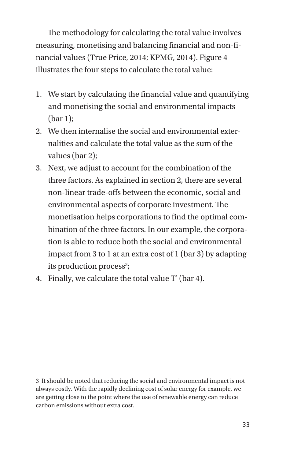The methodology for calculating the total value involves measuring, monetising and balancing financial and non-financial values (True Price, 2014; KPMG, 2014). Figure 4 illustrates the four steps to calculate the total value:

- 1. We start by calculating the financial value and quantifying and monetising the social and environmental impacts (bar 1);
- 2. We then internalise the social and environmental externalities and calculate the total value as the sum of the values (bar 2);
- 3. Next, we adjust to account for the combination of the three factors. As explained in section 2, there are several non-linear trade-offs between the economic, social and environmental aspects of corporate investment. The monetisation helps corporations to find the optimal combination of the three factors. In our example, the corporation is able to reduce both the social and environmental impact from 3 to 1 at an extra cost of 1 (bar 3) by adapting its production process<sup>3</sup>;
- 4. Finally, we calculate the total value T\* (bar 4).

3 It should be noted that reducing the social and environmental impact is not always costly. With the rapidly declining cost of solar energy for example, we are getting close to the point where the use of renewable energy can reduce carbon emissions without extra cost.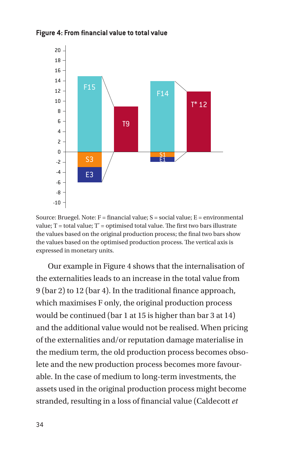



Source: Bruegel. Note: F = financial value; S = social value; E = environmental value; T = total value; T\* = optimised total value. The first two bars illustrate the values based on the original production process; the final two bars show the values based on the optimised production process. The vertical axis is expressed in monetary units.

Our example in Figure 4 shows that the internalisation of the externalities leads to an increase in the total value from 9 (bar 2) to 12 (bar 4). In the traditional finance approach, which maximises F only, the original production process would be continued (bar 1 at 15 is higher than bar 3 at 14) and the additional value would not be realised. When pricing of the externalities and/or reputation damage materialise in the medium term, the old production process becomes obsolete and the new production process becomes more favourable. In the case of medium to long-term investments, the assets used in the original production process might become stranded, resulting in a loss of financial value (Caldecott *et*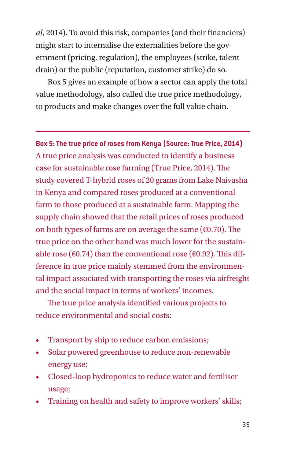*al*, 2014). To avoid this risk, companies (and their financiers) might start to internalise the externalities before the government (pricing, regulation), the employees (strike, talent drain) or the public (reputation, customer strike) do so.

Box 5 gives an example of how a sector can apply the total value methodology, also called the true price methodology, to products and make changes over the full value chain.

**Box 5: The true price of roses from Kenya (Source: True Price, 2014)** A true price analysis was conducted to identify a business case for sustainable rose farming (True Price, 2014). The study covered T-hybrid roses of 20 grams from Lake Naivasha in Kenya and compared roses produced at a conventional farm to those produced at a sustainable farm. Mapping the supply chain showed that the retail prices of roses produced on both types of farms are on average the same ( $\epsilon$ 0.70). The true price on the other hand was much lower for the sustainable rose ( $\epsilon$ 0.74) than the conventional rose ( $\epsilon$ 0.92). This difference in true price mainly stemmed from the environmental impact associated with transporting the roses via airfreight and the social impact in terms of workers' incomes.

The true price analysis identified various projects to reduce environmental and social costs:

- Transport by ship to reduce carbon emissions;
- Solar powered greenhouse to reduce non-renewable energy use;
- Closed-loop hydroponics to reduce water and fertiliser usage;
- Training on health and safety to improve workers' skills;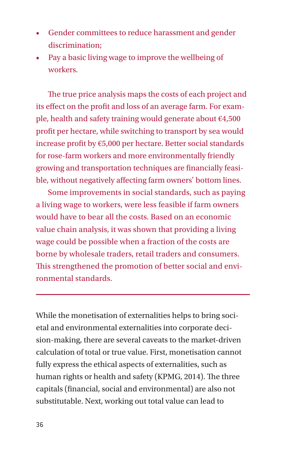- Gender committees to reduce harassment and gender discrimination;
- Pay a basic living wage to improve the wellbeing of workers.

The true price analysis maps the costs of each project and its effect on the profit and loss of an average farm. For example, health and safety training would generate about €4,500 profit per hectare, while switching to transport by sea would increase profit by €5,000 per hectare. Better social standards for rose-farm workers and more environmentally friendly growing and transportation techniques are financially feasible, without negatively affecting farm owners' bottom lines.

Some improvements in social standards, such as paying a living wage to workers, were less feasible if farm owners would have to bear all the costs. Based on an economic value chain analysis, it was shown that providing a living wage could be possible when a fraction of the costs are borne by wholesale traders, retail traders and consumers. This strengthened the promotion of better social and environmental standards.

While the monetisation of externalities helps to bring societal and environmental externalities into corporate decision-making, there are several caveats to the market-driven calculation of total or true value. First, monetisation cannot fully express the ethical aspects of externalities, such as human rights or health and safety (KPMG, 2014). The three capitals (financial, social and environmental) are also not substitutable. Next, working out total value can lead to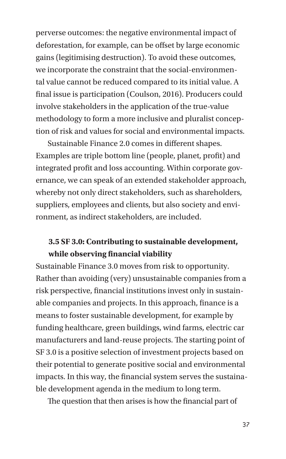perverse outcomes: the negative environmental impact of deforestation, for example, can be offset by large economic gains (legitimising destruction). To avoid these outcomes, we incorporate the constraint that the social-environmental value cannot be reduced compared to its initial value. A final issue is participation (Coulson, 2016). Producers could involve stakeholders in the application of the true-value methodology to form a more inclusive and pluralist conception of risk and values for social and environmental impacts.

Sustainable Finance 2.0 comes in different shapes. Examples are triple bottom line (people, planet, profit) and integrated profit and loss accounting. Within corporate governance, we can speak of an extended stakeholder approach, whereby not only direct stakeholders, such as shareholders, suppliers, employees and clients, but also society and environment, as indirect stakeholders, are included.

## **3.5 SF 3.0: Contributing to sustainable development, while observing financial viability**

Sustainable Finance 3.0 moves from risk to opportunity. Rather than avoiding (very) unsustainable companies from a risk perspective, financial institutions invest only in sustainable companies and projects. In this approach, finance is a means to foster sustainable development, for example by funding healthcare, green buildings, wind farms, electric car manufacturers and land-reuse projects. The starting point of SF 3.0 is a positive selection of investment projects based on their potential to generate positive social and environmental impacts. In this way, the financial system serves the sustainable development agenda in the medium to long term.

The question that then arises is how the financial part of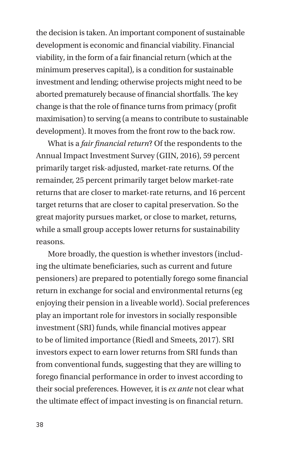the decision is taken. An important component of sustainable development is economic and financial viability. Financial viability, in the form of a fair financial return (which at the minimum preserves capital), is a condition for sustainable investment and lending; otherwise projects might need to be aborted prematurely because of financial shortfalls. The key change is that the role of finance turns from primacy (profit maximisation) to serving (a means to contribute to sustainable development). It moves from the front row to the back row.

What is a *fair financial return*? Of the respondents to the Annual Impact Investment Survey (GIIN, 2016), 59 percent primarily target risk-adjusted, market-rate returns. Of the remainder, 25 percent primarily target below market-rate returns that are closer to market-rate returns, and 16 percent target returns that are closer to capital preservation. So the great majority pursues market, or close to market, returns, while a small group accepts lower returns for sustainability reasons.

More broadly, the question is whether investors (including the ultimate beneficiaries, such as current and future pensioners) are prepared to potentially forego some financial return in exchange for social and environmental returns (eg enjoying their pension in a liveable world). Social preferences play an important role for investors in socially responsible investment (SRI) funds, while financial motives appear to be of limited importance (Riedl and Smeets, 2017). SRI investors expect to earn lower returns from SRI funds than from conventional funds, suggesting that they are willing to forego financial performance in order to invest according to their social preferences. However, it is *ex ante* not clear what the ultimate effect of impact investing is on financial return.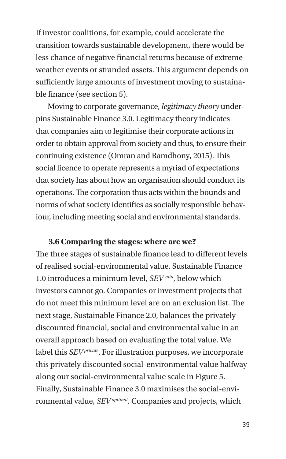If investor coalitions, for example, could accelerate the transition towards sustainable development, there would be less chance of negative financial returns because of extreme weather events or stranded assets. This argument depends on sufficiently large amounts of investment moving to sustainable finance (see section 5).

Moving to corporate governance, *legitimacy theory* underpins Sustainable Finance 3.0. Legitimacy theory indicates that companies aim to legitimise their corporate actions in order to obtain approval from society and thus, to ensure their continuing existence (Omran and Ramdhony, 2015). This social licence to operate represents a myriad of expectations that society has about how an organisation should conduct its operations. The corporation thus acts within the bounds and norms of what society identifies as socially responsible behaviour, including meeting social and environmental standards.

## **3.6 Comparing the stages: where are we?**

The three stages of sustainable finance lead to different levels of realised social-environmental value. Sustainable Finance 1.0 introduces a minimum level, *SEV min*, below which investors cannot go. Companies or investment projects that do not meet this minimum level are on an exclusion list. The next stage, Sustainable Finance 2.0, balances the privately discounted financial, social and environmental value in an overall approach based on evaluating the total value. We label this *SEV private*. For illustration purposes, we incorporate this privately discounted social-environmental value halfway along our social-environmental value scale in Figure 5. Finally, Sustainable Finance 3.0 maximises the social-environmental value, *SEV optimal*. Companies and projects, which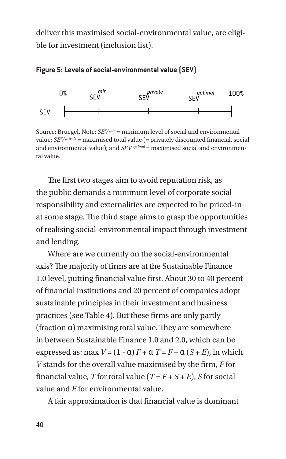deliver this maximised social-environmental value, are eligible for investment (inclusion list).



**Figure 5: Levels of social-environmental value (SEV)**

Source: Bruegel. Note: *SEV min* = minimum level of social and environmental value; *SEV private* = maximised total value (= privately discounted financial, social and environmental value); and *SEV optimal* = maximised social and environmental value.

The first two stages aim to avoid reputation risk, as the public demands a minimum level of corporate social responsibility and externalities are expected to be priced-in at some stage. The third stage aims to grasp the opportunities of realising social-environmental impact through investment and lending.

Where are we currently on the social-environmental axis? The majority of firms are at the Sustainable Finance 1.0 level, putting financial value first. About 30 to 40 percent of financial institutions and 20 percent of companies adopt sustainable principles in their investment and business practices (see Table 4). But these firms are only partly (fraction α) maximising total value. They are somewhere in between Sustainable Finance 1.0 and 2.0, which can be expressed as: max  $V = (1 - \alpha) F + \alpha T = F + \alpha (S + E)$ , in which *V* stands for the overall value maximised by the firm, *F* for financial value, *T* for total value  $(T = F + S + E)$ , *S* for social value and *E* for environmental value.

A fair approximation is that financial value is dominant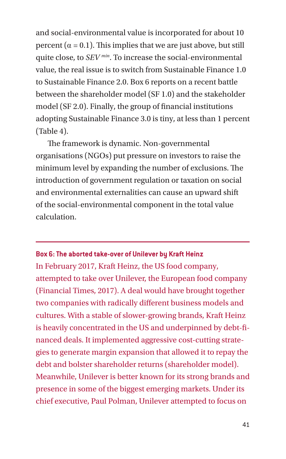and social-environmental value is incorporated for about 10 percent  $(\alpha = 0.1)$ . This implies that we are just above, but still quite close, to *SEV min*. To increase the social-environmental value, the real issue is to switch from Sustainable Finance 1.0 to Sustainable Finance 2.0. Box 6 reports on a recent battle between the shareholder model (SF 1.0) and the stakeholder model (SF 2.0). Finally, the group of financial institutions adopting Sustainable Finance 3.0 is tiny, at less than 1 percent (Table 4).

The framework is dynamic. Non-governmental organisations (NGOs) put pressure on investors to raise the minimum level by expanding the number of exclusions. The introduction of government regulation or taxation on social and environmental externalities can cause an upward shift of the social-environmental component in the total value calculation.

#### **Box 6: The aborted take-over of Unilever by Kraft Heinz**

In February 2017, Kraft Heinz, the US food company, attempted to take over Unilever, the European food company (Financial Times, 2017). A deal would have brought together two companies with radically different business models and cultures. With a stable of slower-growing brands, Kraft Heinz is heavily concentrated in the US and underpinned by debt-financed deals. It implemented aggressive cost-cutting strategies to generate margin expansion that allowed it to repay the debt and bolster shareholder returns (shareholder model). Meanwhile, Unilever is better known for its strong brands and presence in some of the biggest emerging markets. Under its chief executive, Paul Polman, Unilever attempted to focus on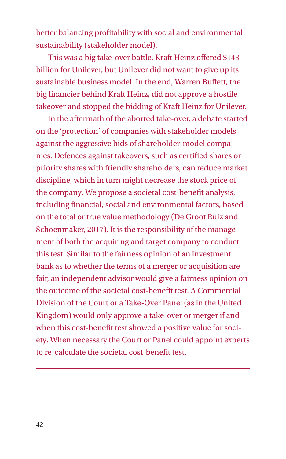better balancing profitability with social and environmental sustainability (stakeholder model).

This was a big take-over battle. Kraft Heinz offered \$143 billion for Unilever, but Unilever did not want to give up its sustainable business model. In the end, Warren Buffett, the big financier behind Kraft Heinz, did not approve a hostile takeover and stopped the bidding of Kraft Heinz for Unilever.

In the aftermath of the aborted take-over, a debate started on the 'protection' of companies with stakeholder models against the aggressive bids of shareholder-model companies. Defences against takeovers, such as certified shares or priority shares with friendly shareholders, can reduce market discipline, which in turn might decrease the stock price of the company. We propose a societal cost-benefit analysis, including financial, social and environmental factors, based on the total or true value methodology (De Groot Ruiz and Schoenmaker, 2017). It is the responsibility of the management of both the acquiring and target company to conduct this test. Similar to the fairness opinion of an investment bank as to whether the terms of a merger or acquisition are fair, an independent advisor would give a fairness opinion on the outcome of the societal cost-benefit test. A Commercial Division of the Court or a Take-Over Panel (as in the United Kingdom) would only approve a take-over or merger if and when this cost-benefit test showed a positive value for society. When necessary the Court or Panel could appoint experts to re-calculate the societal cost-benefit test.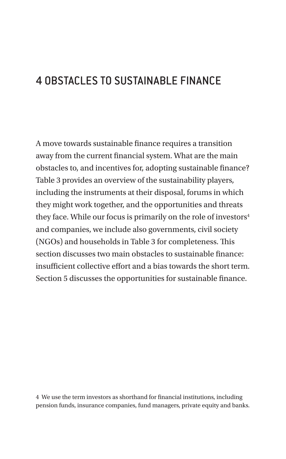## 4 OBSTACLES TO SUSTAINABLE FINANCE

A move towards sustainable finance requires a transition away from the current financial system. What are the main obstacles to, and incentives for, adopting sustainable finance? Table 3 provides an overview of the sustainability players, including the instruments at their disposal, forums in which they might work together, and the opportunities and threats they face. While our focus is primarily on the role of investors<sup>4</sup> and companies, we include also governments, civil society (NGOs) and households in Table 3 for completeness. This section discusses two main obstacles to sustainable finance: insufficient collective effort and a bias towards the short term. Section 5 discusses the opportunities for sustainable finance.

4 We use the term investors as shorthand for financial institutions, including pension funds, insurance companies, fund managers, private equity and banks.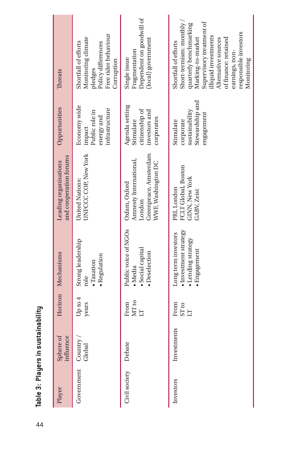| Threats                                         | Free rider behaviour<br>Monitoring climate<br>Shortfall of efforts<br>Policy differences<br>Corruption<br>pledges | Dependent on goodwill of<br>(local) government<br>Fragmentation<br>Single issue                  | Short-termism: monthly<br>Supervisory treatment of<br>quarterly benchmarking<br>responsible investors<br>lliquid investments<br>of finance: retained<br>Alternative sources<br>Marking-to-market<br>Shortfall of efforts<br>earnings, non-<br>Monitoring |
|-------------------------------------------------|-------------------------------------------------------------------------------------------------------------------|--------------------------------------------------------------------------------------------------|----------------------------------------------------------------------------------------------------------------------------------------------------------------------------------------------------------------------------------------------------------|
| Opportunities                                   | Economy wide<br>infrastructure<br>Public role in<br>energy and<br>impact                                          | Agenda setting<br>citizenship of<br>investors and<br>corporates<br>Stimulate                     | Stewardship and<br>sustainability<br>engagement<br>corporate<br>Stimulate                                                                                                                                                                                |
| and cooperation forums<br>Leading organisations | <b>UNFCCCCOP, New York</b><br>United Nations:                                                                     | Greenpeace, Amsterdam<br>Amnesty International,<br>WWF, Washington DC<br>Oxfam, Oxford<br>London | FCLT Global, Boston<br>GINN, New York<br>PRI, London<br>GABV, Zeist                                                                                                                                                                                      |
| Horizon Mechanisms                              | Strong leadership<br>· Regulation<br>· Taxation<br>role                                                           | Public voice of NGOs<br>Social capital<br>· Deselection<br>Media                                 | Investment strategy<br>Long term investors<br>· Lending strategy<br>· Engagement                                                                                                                                                                         |
|                                                 | Up to 4<br>years                                                                                                  | MT to<br>From<br>Ë                                                                               | From<br>ST <sub>to</sub><br>É                                                                                                                                                                                                                            |
| Sphere of<br>influence                          | Country/<br>Global                                                                                                | Debate                                                                                           | Investments                                                                                                                                                                                                                                              |
| Player                                          | Government                                                                                                        | Civil society                                                                                    | Investors                                                                                                                                                                                                                                                |

Table 3: Players in sustainability 44**Table 3: Players in sustainability**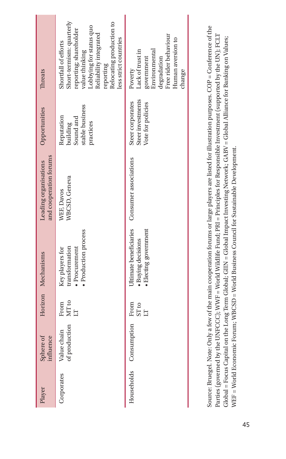| <b>Inreats</b><br>Opportunities                 | Short-termism: quarterly<br>Relocating production to<br>Lobbying for status quo<br>reporting; shareholder<br>Reliability integrated<br>less strict countries<br>Shortfall of efforts<br>value thinking<br>reporting<br>stable business<br>Reputation<br>Sound and<br>building<br>practices | Free rider behaviour<br>Human aversion to<br>Lack of trust in<br>Environmental<br>government<br>degradation<br>Poverty<br>change<br>Steer investments<br>Steer corporates<br>Vote for policies |
|-------------------------------------------------|--------------------------------------------------------------------------------------------------------------------------------------------------------------------------------------------------------------------------------------------------------------------------------------------|------------------------------------------------------------------------------------------------------------------------------------------------------------------------------------------------|
| and cooperation forums<br>Leading organisations | WBCSD, Geneva<br>WEF, Davos                                                                                                                                                                                                                                                                |                                                                                                                                                                                                |
| Horizon Mechanisms                              | • Production process<br>transformation<br>Procurement<br>Key players for                                                                                                                                                                                                                   | Jitimate beneficiaries Consumer associations<br>· Electing government<br><b>Buying decisions</b>                                                                                               |
|                                                 | MT to<br>From<br>Ë                                                                                                                                                                                                                                                                         | From<br>ST <sub>to</sub><br>Ġ                                                                                                                                                                  |
| Sphere of<br>influence                          | of production<br>Value chain                                                                                                                                                                                                                                                               | Households Consumption                                                                                                                                                                         |
| Player                                          | Corporates                                                                                                                                                                                                                                                                                 |                                                                                                                                                                                                |

Source: Bruegel. Note: Only a few of the main cooperation forums or large players are listed for illustration purposes. COP = Conference of the Source: Bruegel. Note: Only a few of the main cooperation forums or large players are listed for illustration purposes. COP = Conference of the Parties (governed by the UNFCCC); WWF = World Wildlife Fund; PRI = Principles for Responsible Investment (supported by the UN); FCLT Parties (governed by the UNFCCC); WWF = World Wildlife Fund; PRI = Principles for Responsible Investment (supported by the UN); FCLT  $Global = Focus Capital$  on the Long Term Global; GIIN = Global Impact Investing Network; GABV = Global Alliance for Banking on Values; Global = Focus Capital on the Long Term Global; GIIN = Global Impact Investing Network; GABV = Global Alliance for Banking on Values; WEF = World Economic Forum; WBCSD = World Business Council for Sustainable Development. WEF = World Economic Forum; WBCSD = World Business Council for Sustainable Development.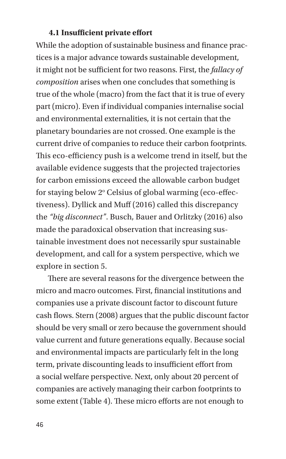#### **4.1 Insufficient private effort**

While the adoption of sustainable business and finance practices is a major advance towards sustainable development, it might not be sufficient for two reasons. First, the *fallacy of composition* arises when one concludes that something is true of the whole (macro) from the fact that it is true of every part (micro). Even if individual companies internalise social and environmental externalities, it is not certain that the planetary boundaries are not crossed. One example is the current drive of companies to reduce their carbon footprints. This eco-efficiency push is a welcome trend in itself, but the available evidence suggests that the projected trajectories for carbon emissions exceed the allowable carbon budget for staying below 2° Celsius of global warming (eco-effectiveness). Dyllick and Muff (2016) called this discrepancy the *"big disconnect"*. Busch, Bauer and Orlitzky (2016) also made the paradoxical observation that increasing sustainable investment does not necessarily spur sustainable development, and call for a system perspective, which we explore in section 5.

There are several reasons for the divergence between the micro and macro outcomes. First, financial institutions and companies use a private discount factor to discount future cash flows. Stern (2008) argues that the public discount factor should be very small or zero because the government should value current and future generations equally. Because social and environmental impacts are particularly felt in the long term, private discounting leads to insufficient effort from a social welfare perspective. Next, only about 20 percent of companies are actively managing their carbon footprints to some extent (Table 4). These micro efforts are not enough to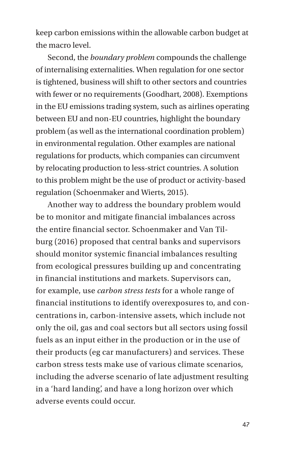keep carbon emissions within the allowable carbon budget at the macro level.

Second, the *boundary problem* compounds the challenge of internalising externalities. When regulation for one sector is tightened, business will shift to other sectors and countries with fewer or no requirements (Goodhart, 2008). Exemptions in the EU emissions trading system, such as airlines operating between EU and non-EU countries, highlight the boundary problem (as well as the international coordination problem) in environmental regulation. Other examples are national regulations for products, which companies can circumvent by relocating production to less-strict countries. A solution to this problem might be the use of product or activity-based regulation (Schoenmaker and Wierts, 2015).

Another way to address the boundary problem would be to monitor and mitigate financial imbalances across the entire financial sector. Schoenmaker and Van Tilburg (2016) proposed that central banks and supervisors should monitor systemic financial imbalances resulting from ecological pressures building up and concentrating in financial institutions and markets. Supervisors can, for example, use *carbon stress tests* for a whole range of financial institutions to identify overexposures to, and concentrations in, carbon-intensive assets, which include not only the oil, gas and coal sectors but all sectors using fossil fuels as an input either in the production or in the use of their products (eg car manufacturers) and services. These carbon stress tests make use of various climate scenarios, including the adverse scenario of late adjustment resulting in a 'hard landing', and have a long horizon over which adverse events could occur.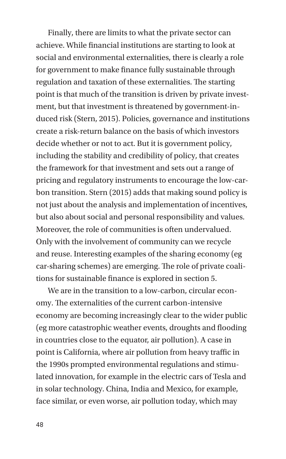Finally, there are limits to what the private sector can achieve. While financial institutions are starting to look at social and environmental externalities, there is clearly a role for government to make finance fully sustainable through regulation and taxation of these externalities. The starting point is that much of the transition is driven by private investment, but that investment is threatened by government-induced risk (Stern, 2015). Policies, governance and institutions create a risk-return balance on the basis of which investors decide whether or not to act. But it is government policy, including the stability and credibility of policy, that creates the framework for that investment and sets out a range of pricing and regulatory instruments to encourage the low-carbon transition. Stern (2015) adds that making sound policy is not just about the analysis and implementation of incentives, but also about social and personal responsibility and values. Moreover, the role of communities is often undervalued. Only with the involvement of community can we recycle and reuse. Interesting examples of the sharing economy (eg car-sharing schemes) are emerging. The role of private coalitions for sustainable finance is explored in section 5.

We are in the transition to a low-carbon, circular economy. The externalities of the current carbon-intensive economy are becoming increasingly clear to the wider public (eg more catastrophic weather events, droughts and flooding in countries close to the equator, air pollution). A case in point is California, where air pollution from heavy traffic in the 1990s prompted environmental regulations and stimulated innovation, for example in the electric cars of Tesla and in solar technology. China, India and Mexico, for example, face similar, or even worse, air pollution today, which may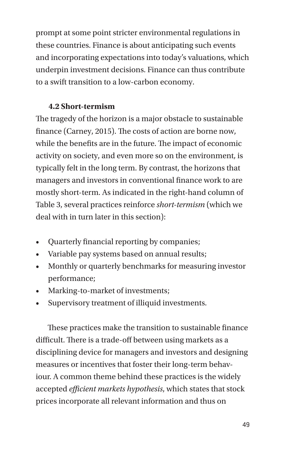prompt at some point stricter environmental regulations in these countries. Finance is about anticipating such events and incorporating expectations into today's valuations, which underpin investment decisions. Finance can thus contribute to a swift transition to a low-carbon economy.

### **4.2 Short-termism**

The tragedy of the horizon is a major obstacle to sustainable finance (Carney, 2015). The costs of action are borne now, while the benefits are in the future. The impact of economic activity on society, and even more so on the environment, is typically felt in the long term. By contrast, the horizons that managers and investors in conventional finance work to are mostly short-term. As indicated in the right-hand column of Table 3, several practices reinforce *short-termism* (which we deal with in turn later in this section):

- Quarterly financial reporting by companies;
- Variable pay systems based on annual results;
- Monthly or quarterly benchmarks for measuring investor performance;
- Marking-to-market of investments;
- Supervisory treatment of illiquid investments.

These practices make the transition to sustainable finance difficult. There is a trade-off between using markets as a disciplining device for managers and investors and designing measures or incentives that foster their long-term behaviour. A common theme behind these practices is the widely accepted *efficient markets hypothesis*, which states that stock prices incorporate all relevant information and thus on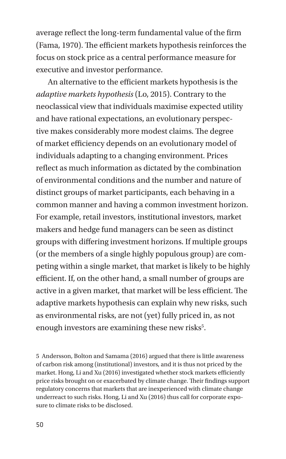average reflect the long-term fundamental value of the firm (Fama, 1970). The efficient markets hypothesis reinforces the focus on stock price as a central performance measure for executive and investor performance.

An alternative to the efficient markets hypothesis is the *adaptive markets hypothesis* (Lo, 2015). Contrary to the neoclassical view that individuals maximise expected utility and have rational expectations, an evolutionary perspective makes considerably more modest claims. The degree of market efficiency depends on an evolutionary model of individuals adapting to a changing environment. Prices reflect as much information as dictated by the combination of environmental conditions and the number and nature of distinct groups of market participants, each behaving in a common manner and having a common investment horizon. For example, retail investors, institutional investors, market makers and hedge fund managers can be seen as distinct groups with differing investment horizons. If multiple groups (or the members of a single highly populous group) are competing within a single market, that market is likely to be highly efficient. If, on the other hand, a small number of groups are active in a given market, that market will be less efficient. The adaptive markets hypothesis can explain why new risks, such as environmental risks, are not (yet) fully priced in, as not enough investors are examining these new risks<sup>5</sup>.

5 Andersson, Bolton and Samama (2016) argued that there is little awareness of carbon risk among (institutional) investors, and it is thus not priced by the market. Hong, Li and Xu (2016) investigated whether stock markets efficiently price risks brought on or exacerbated by climate change. Their findings support regulatory concerns that markets that are inexperienced with climate change underreact to such risks. Hong, Li and Xu (2016) thus call for corporate exposure to climate risks to be disclosed.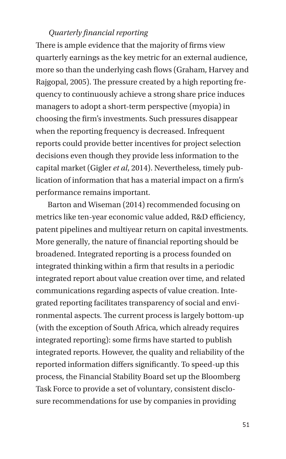## *Quarterly financial reporting*

There is ample evidence that the majority of firms view quarterly earnings as the key metric for an external audience, more so than the underlying cash flows (Graham, Harvey and Rajgopal, 2005). The pressure created by a high reporting frequency to continuously achieve a strong share price induces managers to adopt a short-term perspective (myopia) in choosing the firm's investments. Such pressures disappear when the reporting frequency is decreased. Infrequent reports could provide better incentives for project selection decisions even though they provide less information to the capital market (Gigler *et al*, 2014). Nevertheless, timely publication of information that has a material impact on a firm's performance remains important.

Barton and Wiseman (2014) recommended focusing on metrics like ten-year economic value added, R&D efficiency, patent pipelines and multiyear return on capital investments. More generally, the nature of financial reporting should be broadened. Integrated reporting is a process founded on integrated thinking within a firm that results in a periodic integrated report about value creation over time, and related communications regarding aspects of value creation. Integrated reporting facilitates transparency of social and environmental aspects. The current process is largely bottom-up (with the exception of South Africa, which already requires integrated reporting): some firms have started to publish integrated reports. However, the quality and reliability of the reported information differs significantly. To speed-up this process, the Financial Stability Board set up the Bloomberg Task Force to provide a set of voluntary, consistent disclosure recommendations for use by companies in providing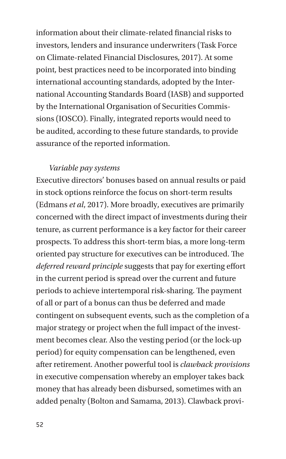information about their climate-related financial risks to investors, lenders and insurance underwriters (Task Force on Climate-related Financial Disclosures, 2017). At some point, best practices need to be incorporated into binding international accounting standards, adopted by the International Accounting Standards Board (IASB) and supported by the International Organisation of Securities Commissions (IOSCO). Finally, integrated reports would need to be audited, according to these future standards, to provide assurance of the reported information.

#### *Variable pay systems*

Executive directors' bonuses based on annual results or paid in stock options reinforce the focus on short-term results (Edmans *et al*, 2017). More broadly, executives are primarily concerned with the direct impact of investments during their tenure, as current performance is a key factor for their career prospects. To address this short-term bias, a more long-term oriented pay structure for executives can be introduced. The *deferred reward principle* suggests that pay for exerting effort in the current period is spread over the current and future periods to achieve intertemporal risk-sharing. The payment of all or part of a bonus can thus be deferred and made contingent on subsequent events, such as the completion of a major strategy or project when the full impact of the investment becomes clear. Also the vesting period (or the lock-up period) for equity compensation can be lengthened, even after retirement. Another powerful tool is *clawback provisions* in executive compensation whereby an employer takes back money that has already been disbursed, sometimes with an added penalty (Bolton and Samama, 2013). Clawback provi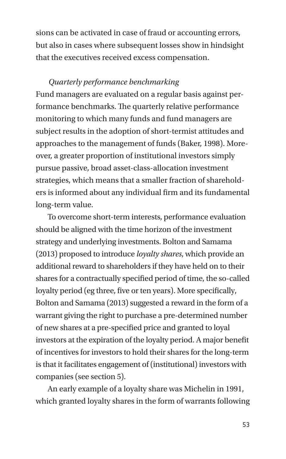sions can be activated in case of fraud or accounting errors, but also in cases where subsequent losses show in hindsight that the executives received excess compensation.

## *Quarterly performance benchmarking*

Fund managers are evaluated on a regular basis against performance benchmarks. The quarterly relative performance monitoring to which many funds and fund managers are subject results in the adoption of short-termist attitudes and approaches to the management of funds (Baker, 1998). Moreover, a greater proportion of institutional investors simply pursue passive, broad asset-class-allocation investment strategies, which means that a smaller fraction of shareholders is informed about any individual firm and its fundamental long-term value.

To overcome short-term interests, performance evaluation should be aligned with the time horizon of the investment strategy and underlying investments. Bolton and Samama (2013) proposed to introduce *loyalty shares*, which provide an additional reward to shareholders if they have held on to their shares for a contractually specified period of time, the so-called loyalty period (eg three, five or ten years). More specifically, Bolton and Samama (2013) suggested a reward in the form of a warrant giving the right to purchase a pre-determined number of new shares at a pre-specified price and granted to loyal investors at the expiration of the loyalty period. A major benefit of incentives for investors to hold their shares for the long-term is that it facilitates engagement of (institutional) investors with companies (see section 5).

An early example of a loyalty share was Michelin in 1991, which granted loyalty shares in the form of warrants following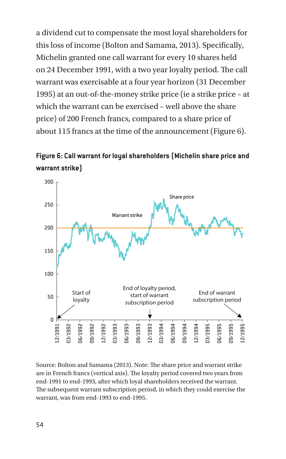a dividend cut to compensate the most loyal shareholders for this loss of income (Bolton and Samama, 2013). Specifically, Michelin granted one call warrant for every 10 shares held on 24 December 1991, with a two year loyalty period. The call warrant was exercisable at a four year horizon (31 December 1995) at an out-of-the-money strike price (ie a strike price – at which the warrant can be exercised – well above the share price) of 200 French francs, compared to a share price of about 115 francs at the time of the announcement (Figure 6).

**Figure 6: Call warrant for loyal shareholders (Michelin share price and warrant strike)**



Source: Bolton and Samama (2013). Note: The share price and warrant strike are in French francs (vertical axis). The loyalty period covered two years from end-1991 to end-1993, after which loyal shareholders received the warrant. The subsequent warrant subscription period, in which they could exercise the warrant, was from end-1993 to end-1995.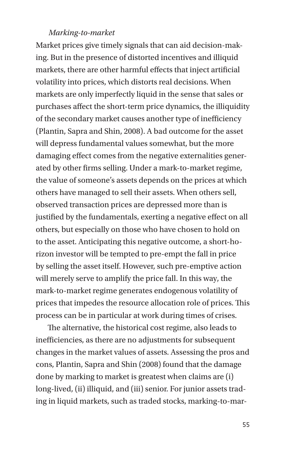## *Marking-to-market*

Market prices give timely signals that can aid decision-making. But in the presence of distorted incentives and illiquid markets, there are other harmful effects that inject artificial volatility into prices, which distorts real decisions. When markets are only imperfectly liquid in the sense that sales or purchases affect the short-term price dynamics, the illiquidity of the secondary market causes another type of inefficiency (Plantin, Sapra and Shin, 2008). A bad outcome for the asset will depress fundamental values somewhat, but the more damaging effect comes from the negative externalities generated by other firms selling. Under a mark-to-market regime, the value of someone's assets depends on the prices at which others have managed to sell their assets. When others sell, observed transaction prices are depressed more than is justified by the fundamentals, exerting a negative effect on all others, but especially on those who have chosen to hold on to the asset. Anticipating this negative outcome, a short-horizon investor will be tempted to pre-empt the fall in price by selling the asset itself. However, such pre-emptive action will merely serve to amplify the price fall. In this way, the mark-to-market regime generates endogenous volatility of prices that impedes the resource allocation role of prices. This process can be in particular at work during times of crises.

The alternative, the historical cost regime, also leads to inefficiencies, as there are no adjustments for subsequent changes in the market values of assets. Assessing the pros and cons, Plantin, Sapra and Shin (2008) found that the damage done by marking to market is greatest when claims are (i) long-lived, (ii) illiquid, and (iii) senior. For junior assets trading in liquid markets, such as traded stocks, marking-to-mar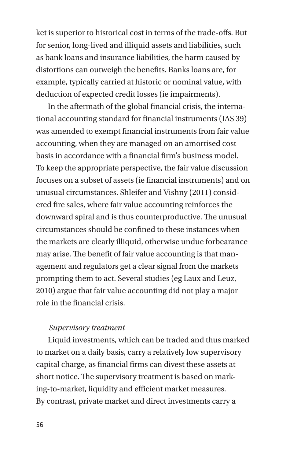ket is superior to historical cost in terms of the trade-offs. But for senior, long-lived and illiquid assets and liabilities, such as bank loans and insurance liabilities, the harm caused by distortions can outweigh the benefits. Banks loans are, for example, typically carried at historic or nominal value, with deduction of expected credit losses (ie impairments).

In the aftermath of the global financial crisis, the international accounting standard for financial instruments (IAS 39) was amended to exempt financial instruments from fair value accounting, when they are managed on an amortised cost basis in accordance with a financial firm's business model. To keep the appropriate perspective, the fair value discussion focuses on a subset of assets (ie financial instruments) and on unusual circumstances. Shleifer and Vishny (2011) considered fire sales, where fair value accounting reinforces the downward spiral and is thus counterproductive. The unusual circumstances should be confined to these instances when the markets are clearly illiquid, otherwise undue forbearance may arise. The benefit of fair value accounting is that management and regulators get a clear signal from the markets prompting them to act. Several studies (eg Laux and Leuz, 2010) argue that fair value accounting did not play a major role in the financial crisis.

### *Supervisory treatment*

Liquid investments, which can be traded and thus marked to market on a daily basis, carry a relatively low supervisory capital charge, as financial firms can divest these assets at short notice. The supervisory treatment is based on marking-to-market, liquidity and efficient market measures. By contrast, private market and direct investments carry a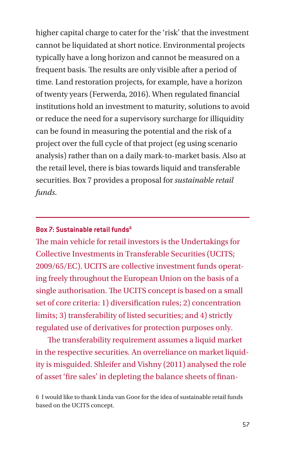higher capital charge to cater for the 'risk' that the investment cannot be liquidated at short notice. Environmental projects typically have a long horizon and cannot be measured on a frequent basis. The results are only visible after a period of time. Land restoration projects, for example, have a horizon of twenty years (Ferwerda, 2016). When regulated financial institutions hold an investment to maturity, solutions to avoid or reduce the need for a supervisory surcharge for illiquidity can be found in measuring the potential and the risk of a project over the full cycle of that project (eg using scenario analysis) rather than on a daily mark-to-market basis. Also at the retail level, there is bias towards liquid and transferable securities. Box 7 provides a proposal for *sustainable retail funds*.

### **Box 7: Sustainable retail funds6**

The main vehicle for retail investors is the Undertakings for Collective Investments in Transferable Securities (UCITS; 2009/65/EC). UCITS are collective investment funds operating freely throughout the European Union on the basis of a single authorisation. The UCITS concept is based on a small set of core criteria: 1) diversification rules; 2) concentration limits; 3) transferability of listed securities; and 4) strictly regulated use of derivatives for protection purposes only.

The transferability requirement assumes a liquid market in the respective securities. An overreliance on market liquidity is misguided. Shleifer and Vishny (2011) analysed the role of asset 'fire sales' in depleting the balance sheets of finan-

6 I would like to thank Linda van Goor for the idea of sustainable retail funds based on the UCITS concept.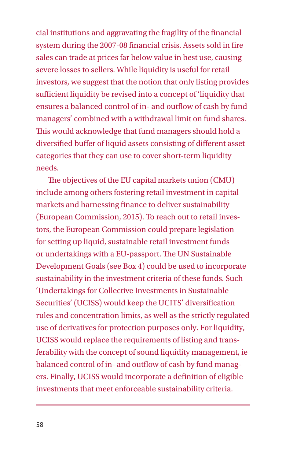cial institutions and aggravating the fragility of the financial system during the 2007-08 financial crisis. Assets sold in fire sales can trade at prices far below value in best use, causing severe losses to sellers. While liquidity is useful for retail investors, we suggest that the notion that only listing provides sufficient liquidity be revised into a concept of 'liquidity that ensures a balanced control of in- and outflow of cash by fund managers' combined with a withdrawal limit on fund shares. This would acknowledge that fund managers should hold a diversified buffer of liquid assets consisting of different asset categories that they can use to cover short-term liquidity needs.

The objectives of the EU capital markets union (CMU) include among others fostering retail investment in capital markets and harnessing finance to deliver sustainability (European Commission, 2015). To reach out to retail investors, the European Commission could prepare legislation for setting up liquid, sustainable retail investment funds or undertakings with a EU-passport. The UN Sustainable Development Goals (see Box 4) could be used to incorporate sustainability in the investment criteria of these funds. Such 'Undertakings for Collective Investments in Sustainable Securities' (UCISS) would keep the UCITS' diversification rules and concentration limits, as well as the strictly regulated use of derivatives for protection purposes only. For liquidity, UCISS would replace the requirements of listing and transferability with the concept of sound liquidity management, ie balanced control of in- and outflow of cash by fund managers. Finally, UCISS would incorporate a definition of eligible investments that meet enforceable sustainability criteria.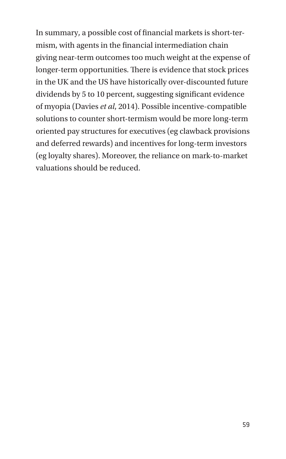In summary, a possible cost of financial markets is short-termism, with agents in the financial intermediation chain giving near-term outcomes too much weight at the expense of longer-term opportunities. There is evidence that stock prices in the UK and the US have historically over-discounted future dividends by 5 to 10 percent, suggesting significant evidence of myopia (Davies *et al*, 2014). Possible incentive-compatible solutions to counter short-termism would be more long-term oriented pay structures for executives (eg clawback provisions and deferred rewards) and incentives for long-term investors (eg loyalty shares). Moreover, the reliance on mark-to-market valuations should be reduced.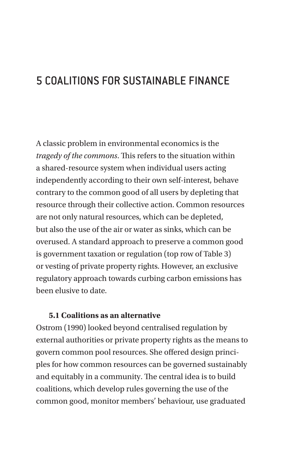# 5 COALITIONS FOR SUSTAINABLE FINANCE

A classic problem in environmental economics is the *tragedy of the commons*. This refers to the situation within a shared-resource system when individual users acting independently according to their own self-interest, behave contrary to the common good of all users by depleting that resource through their collective action. Common resources are not only natural resources, which can be depleted, but also the use of the air or water as sinks, which can be overused. A standard approach to preserve a common good is government taxation or regulation (top row of Table 3) or vesting of private property rights. However, an exclusive regulatory approach towards curbing carbon emissions has been elusive to date.

#### **5.1 Coalitions as an alternative**

Ostrom (1990) looked beyond centralised regulation by external authorities or private property rights as the means to govern common pool resources. She offered design principles for how common resources can be governed sustainably and equitably in a community. The central idea is to build coalitions, which develop rules governing the use of the common good, monitor members' behaviour, use graduated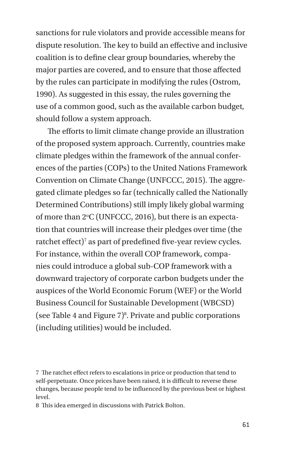sanctions for rule violators and provide accessible means for dispute resolution. The key to build an effective and inclusive coalition is to define clear group boundaries, whereby the major parties are covered, and to ensure that those affected by the rules can participate in modifying the rules (Ostrom, 1990). As suggested in this essay, the rules governing the use of a common good, such as the available carbon budget, should follow a system approach.

The efforts to limit climate change provide an illustration of the proposed system approach. Currently, countries make climate pledges within the framework of the annual conferences of the parties (COPs) to the United Nations Framework Convention on Climate Change (UNFCCC, 2015). The aggregated climate pledges so far (technically called the Nationally Determined Contributions) still imply likely global warming of more than 2°C (UNFCCC, 2016), but there is an expectation that countries will increase their pledges over time (the ratchet effect)<sup>7</sup> as part of predefined five-year review cycles. For instance, within the overall COP framework, companies could introduce a global sub-COP framework with a downward trajectory of corporate carbon budgets under the auspices of the World Economic Forum (WEF) or the World Business Council for Sustainable Development (WBCSD) (see Table 4 and Figure 7)8 . Private and public corporations (including utilities) would be included.

8 This idea emerged in discussions with Patrick Bolton.

<sup>7</sup> The ratchet effect refers to escalations in price or production that tend to self-perpetuate. Once prices have been raised, it is difficult to reverse these changes, because people tend to be influenced by the previous best or highest level.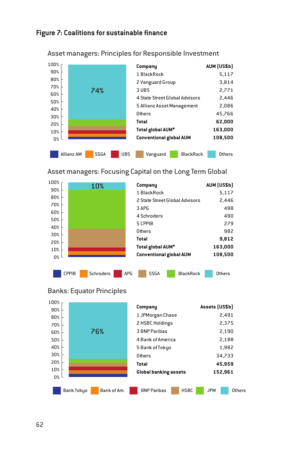#### **Figure 7: Coalitions for sustainable finance**



Asset managers: Principles for Responsible Investment

Asset managers: Focusing Capital on the Long Term Global





| 100% |                                  |                                   |                      |
|------|----------------------------------|-----------------------------------|----------------------|
| 90%  |                                  | Company                           | Assets (US\$b)       |
| 80%  |                                  | 1 JPMorgan Chase                  | 2.491                |
| 70%  |                                  | 2 HSBC Holdings                   | 2.375                |
| 60%  | 76%                              | 3 BNP Paribas                     | 2,190                |
| 50%  |                                  | 4 Bank of America                 | 2.188                |
| 40%  |                                  | 5 Bank of Tokyo                   | 1,982                |
| 30%  |                                  | Others                            | 34,733               |
| 20%  |                                  | Total                             | 45.959               |
| 10%  |                                  | <b>Global banking assets</b>      | 152.961              |
| 0%   |                                  |                                   |                      |
|      | Bank of Am.<br><b>Bank Tokyo</b> | <b>HSBC</b><br><b>BNP Paribas</b> | <b>JPM</b><br>Others |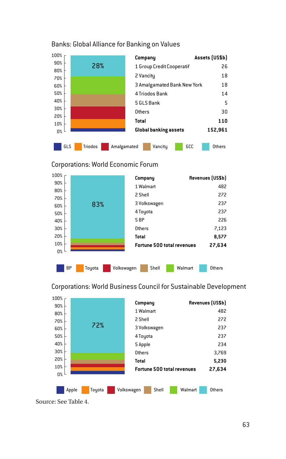

#### Banks: Global Alliance for Banking on Values

#### Corporations: World Economic Forum



**Company Revenues (US\$b)** 1 Walmart 482 2 Shell 272 3 Volkswagen 237 4 Toyota 237 5 Apple 234 Others 3,769 **Total 5,230 Fortune <sup>500</sup> total revenues 27,634** 0% 10% 20% 30% 40% 50% 60% 70% 80% 90% 100% Apple Toyota Volkswagen Shell Walmart Others 72%

Corporations: World Business Council for Sustainable Development

Source: See Table 4.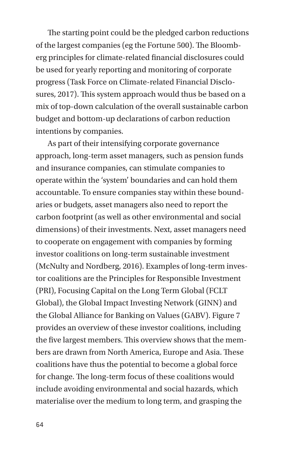The starting point could be the pledged carbon reductions of the largest companies (eg the Fortune 500). The Bloomberg principles for climate-related financial disclosures could be used for yearly reporting and monitoring of corporate progress (Task Force on Climate-related Financial Disclosures, 2017). This system approach would thus be based on a mix of top-down calculation of the overall sustainable carbon budget and bottom-up declarations of carbon reduction intentions by companies.

As part of their intensifying corporate governance approach, long-term asset managers, such as pension funds and insurance companies, can stimulate companies to operate within the 'system' boundaries and can hold them accountable. To ensure companies stay within these boundaries or budgets, asset managers also need to report the carbon footprint (as well as other environmental and social dimensions) of their investments. Next, asset managers need to cooperate on engagement with companies by forming investor coalitions on long-term sustainable investment (McNulty and Nordberg, 2016). Examples of long-term investor coalitions are the Principles for Responsible Investment (PRI), Focusing Capital on the Long Term Global (FCLT Global), the Global Impact Investing Network (GINN) and the Global Alliance for Banking on Values (GABV). Figure 7 provides an overview of these investor coalitions, including the five largest members. This overview shows that the members are drawn from North America, Europe and Asia. These coalitions have thus the potential to become a global force for change. The long-term focus of these coalitions would include avoiding environmental and social hazards, which materialise over the medium to long term, and grasping the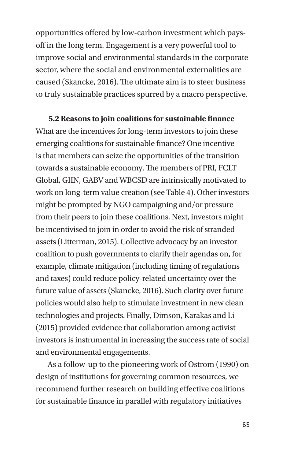opportunities offered by low-carbon investment which paysoff in the long term. Engagement is a very powerful tool to improve social and environmental standards in the corporate sector, where the social and environmental externalities are caused (Skancke, 2016). The ultimate aim is to steer business to truly sustainable practices spurred by a macro perspective.

**5.2 Reasons to join coalitions for sustainable finance** What are the incentives for long-term investors to join these emerging coalitions for sustainable finance? One incentive is that members can seize the opportunities of the transition towards a sustainable economy. The members of PRI, FCLT Global, GIIN, GABV and WBCSD are intrinsically motivated to work on long-term value creation (see Table 4). Other investors might be prompted by NGO campaigning and/or pressure from their peers to join these coalitions. Next, investors might be incentivised to join in order to avoid the risk of stranded assets (Litterman, 2015). Collective advocacy by an investor coalition to push governments to clarify their agendas on, for example, climate mitigation (including timing of regulations and taxes) could reduce policy-related uncertainty over the future value of assets (Skancke, 2016). Such clarity over future policies would also help to stimulate investment in new clean technologies and projects. Finally, Dimson, Karakas and Li (2015) provided evidence that collaboration among activist investors is instrumental in increasing the success rate of social and environmental engagements.

As a follow-up to the pioneering work of Ostrom (1990) on design of institutions for governing common resources, we recommend further research on building effective coalitions for sustainable finance in parallel with regulatory initiatives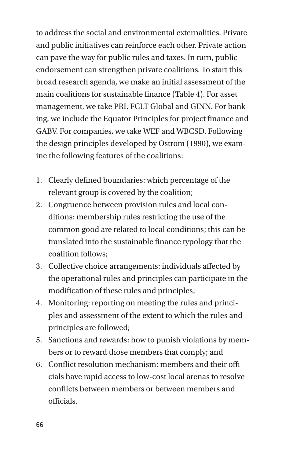to address the social and environmental externalities. Private and public initiatives can reinforce each other. Private action can pave the way for public rules and taxes. In turn, public endorsement can strengthen private coalitions. To start this broad research agenda, we make an initial assessment of the main coalitions for sustainable finance (Table 4). For asset management, we take PRI, FCLT Global and GINN. For banking, we include the Equator Principles for project finance and GABV. For companies, we take WEF and WBCSD. Following the design principles developed by Ostrom (1990), we examine the following features of the coalitions:

- 1. Clearly defined boundaries: which percentage of the relevant group is covered by the coalition;
- 2. Congruence between provision rules and local conditions: membership rules restricting the use of the common good are related to local conditions; this can be translated into the sustainable finance typology that the coalition follows;
- 3. Collective choice arrangements: individuals affected by the operational rules and principles can participate in the modification of these rules and principles;
- 4. Monitoring: reporting on meeting the rules and principles and assessment of the extent to which the rules and principles are followed;
- 5. Sanctions and rewards: how to punish violations by members or to reward those members that comply; and
- 6. Conflict resolution mechanism: members and their officials have rapid access to low-cost local arenas to resolve conflicts between members or between members and officials.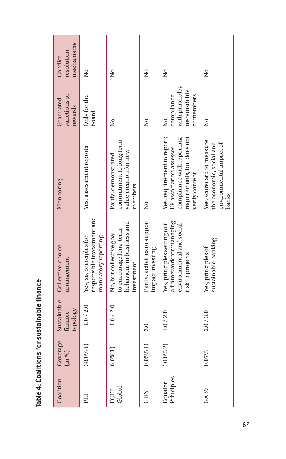| Coalition             | Coverage<br>$(\text{in } \%)$ | Sustainable<br>Asolodh<br>finance | Collective-choice<br>arrangement                                                                        | Monitoring                                                                                                                          | sanctions or<br>Graduated<br>rewards                                | mechanisms<br>resolution<br>Conflict- |
|-----------------------|-------------------------------|-----------------------------------|---------------------------------------------------------------------------------------------------------|-------------------------------------------------------------------------------------------------------------------------------------|---------------------------------------------------------------------|---------------------------------------|
| PRI                   | 38.0% 1)                      | 1.0 / 2.0                         | responsible investment and<br>mandatory reporting<br>Yes, six principles for                            | Yes, assessment reports                                                                                                             | Only for the<br>board                                               | å                                     |
| Global<br>FCLT        | $6.0\%$ 1                     | 1.0 / 2.0                         | behaviour in business and<br>to encourage long-term<br>No, but collective goal<br>investment            | commitment to long term<br>value creation for new<br>Partly, demonstrated<br>members                                                | å                                                                   | å                                     |
| <b>GIIN</b>           | $0.05\%$ 1)                   | 3.0                               | Partly, activities to support<br>impact investing                                                       | $\tilde{z}$                                                                                                                         | å                                                                   | å                                     |
| Principles<br>Equator | $30.0\% 2$                    | 1.0 / 2.0                         | a framework for managing<br>Yes, principles setting out<br>environmental and social<br>risk in projects | requirements, but does not<br>Yes, requirement to report;<br>compliance with reporting<br>EP association assesses<br>verify content | with principles<br>responsibility<br>of members<br>compliance<br>Ź, | å                                     |
| GABV                  | 0.07%                         | 2.0 / 3.0                         | sustainable banking<br>Yes, principles of                                                               | Yes, scorecard to measure<br>the economic, social and<br>environmental impact of<br>banks                                           | ž                                                                   | $\frac{1}{2}$                         |

Table 4: Coalitions for sustainable finance **Table 4: Coalitions for sustainable finance**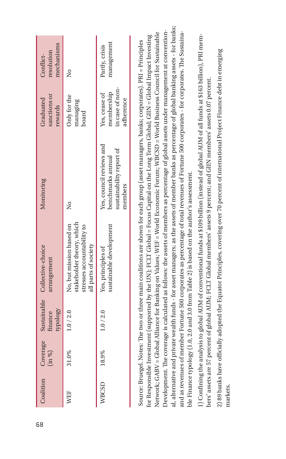|              | Coverage<br>(in %) | kbolodh<br>finance | Sustainable Collective-choice<br>arrangement                                                                |                                                                                      | sanctions or<br>rewards                                     | mechanisms<br>resolution     |
|--------------|--------------------|--------------------|-------------------------------------------------------------------------------------------------------------|--------------------------------------------------------------------------------------|-------------------------------------------------------------|------------------------------|
| WEF          | 31.0%              | 1.0 / 2.0          | stakeholder theory, which<br>No. but mission based on<br>stresses accountability to<br>all parts of society | δ,                                                                                   | Only for the<br>managing<br>board                           | ż                            |
| <b>WBCSD</b> | 18.9%              | 1.0 / 2.0          | sustainable development<br>Yes, principles of                                                               | Yes, council reviews and<br>sustainability report of<br>benchmarks annual<br>members | in case of non-<br>membership<br>Yes, cease of<br>adherence | management<br>Partly, crisis |

1) Confining the analysis to global AUM of conventional funds at \$109 billion (instead of global AUM of all funds at \$163 billion), PRI mem-1) Confining the analysis to global AUM of conventional funds at \$109 billion (instead of global AUM of all funds at \$163 billion), PRI members' assets are 57 percent of global AUM; FCLT Global members' assets 9 percent; and GIIN members' assets 0.07 percent. bers' assets are 57 percent of global AUM; FCLT Global members' assets 9 percent; and GIIN members' assets 0.07 percent.

2) 89 banks have officially adopted the Equator Principles, covering over 70 percent of international Project Finance debt in emerging 2) 89 banks have officially adopted the Equator Principles, covering over 70 percent of international Project Finance debt in emerging markets.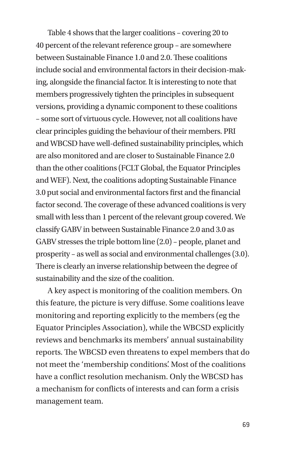Table 4 shows that the larger coalitions – covering 20 to 40 percent of the relevant reference group – are somewhere between Sustainable Finance 1.0 and 2.0. These coalitions include social and environmental factors in their decision-making, alongside the financial factor. It is interesting to note that members progressively tighten the principles in subsequent versions, providing a dynamic component to these coalitions – some sort of virtuous cycle. However, not all coalitions have clear principles guiding the behaviour of their members. PRI and WBCSD have well-defined sustainability principles, which are also monitored and are closer to Sustainable Finance 2.0 than the other coalitions (FCLT Global, the Equator Principles and WEF). Next, the coalitions adopting Sustainable Finance 3.0 put social and environmental factors first and the financial factor second. The coverage of these advanced coalitions is very small with less than 1 percent of the relevant group covered. We classify GABV in between Sustainable Finance 2.0 and 3.0 as GABV stresses the triple bottom line (2.0) – people, planet and prosperity – as well as social and environmental challenges (3.0). There is clearly an inverse relationship between the degree of sustainability and the size of the coalition.

A key aspect is monitoring of the coalition members. On this feature, the picture is very diffuse. Some coalitions leave monitoring and reporting explicitly to the members (eg the Equator Principles Association), while the WBCSD explicitly reviews and benchmarks its members' annual sustainability reports. The WBCSD even threatens to expel members that do not meet the 'membership conditions'. Most of the coalitions have a conflict resolution mechanism. Only the WBCSD has a mechanism for conflicts of interests and can form a crisis management team.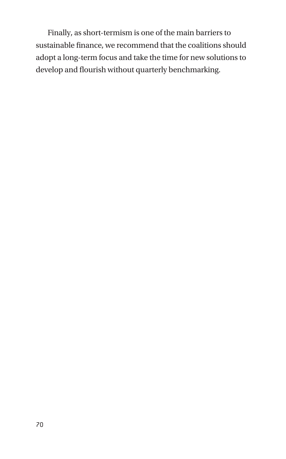Finally, as short-termism is one of the main barriers to sustainable finance, we recommend that the coalitions should adopt a long-term focus and take the time for new solutions to develop and flourish without quarterly benchmarking.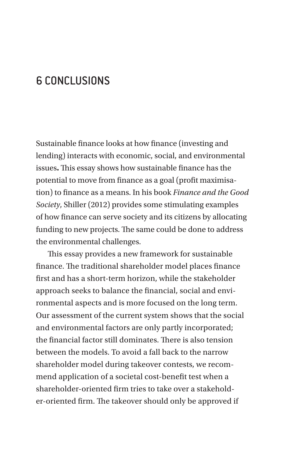# 6 CONCLUSIONS

Sustainable finance looks at how finance (investing and lending) interacts with economic, social, and environmental issues**.** This essay shows how sustainable finance has the potential to move from finance as a goal (profit maximisation) to finance as a means. In his book *Finance and the Good Society*, Shiller (2012) provides some stimulating examples of how finance can serve society and its citizens by allocating funding to new projects. The same could be done to address the environmental challenges.

This essay provides a new framework for sustainable finance. The traditional shareholder model places finance first and has a short-term horizon, while the stakeholder approach seeks to balance the financial, social and environmental aspects and is more focused on the long term. Our assessment of the current system shows that the social and environmental factors are only partly incorporated; the financial factor still dominates. There is also tension between the models. To avoid a fall back to the narrow shareholder model during takeover contests, we recommend application of a societal cost-benefit test when a shareholder-oriented firm tries to take over a stakeholder-oriented firm. The takeover should only be approved if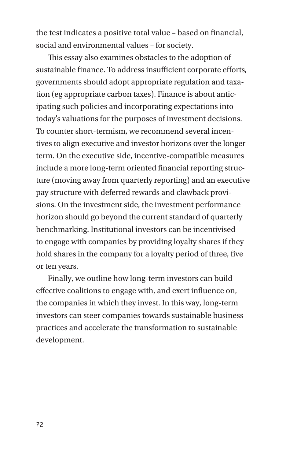the test indicates a positive total value – based on financial, social and environmental values – for society.

This essay also examines obstacles to the adoption of sustainable finance. To address insufficient corporate efforts, governments should adopt appropriate regulation and taxation (eg appropriate carbon taxes). Finance is about anticipating such policies and incorporating expectations into today's valuations for the purposes of investment decisions. To counter short-termism, we recommend several incentives to align executive and investor horizons over the longer term. On the executive side, incentive-compatible measures include a more long-term oriented financial reporting structure (moving away from quarterly reporting) and an executive pay structure with deferred rewards and clawback provisions. On the investment side, the investment performance horizon should go beyond the current standard of quarterly benchmarking. Institutional investors can be incentivised to engage with companies by providing loyalty shares if they hold shares in the company for a loyalty period of three, five or ten years.

Finally, we outline how long-term investors can build effective coalitions to engage with, and exert influence on, the companies in which they invest. In this way, long-term investors can steer companies towards sustainable business practices and accelerate the transformation to sustainable development.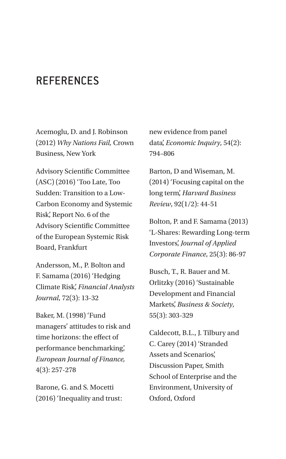## **REFERENCES**

Acemoglu, D. and J. Robinson (2012) *Why Nations Fail,* Crown Business, New York

Advisory Scientific Committee (ASC) (2016) 'Too Late, Too Sudden: Transition to a Low-Carbon Economy and Systemic Risk', Report No. 6 of the Advisory Scientific Committee of the European Systemic Risk Board, Frankfurt

Andersson, M., P. Bolton and F. Samama (2016) 'Hedging Climate Risk', *Financial Analysts Journal*, 72(3): 13-32

Baker, M. (1998) 'Fund managers' attitudes to risk and time horizons: the effect of performance benchmarking', *European Journal of Finance,*  4(3): 257-278

Barone, G. and S. Mocetti (2016) 'Inequality and trust: new evidence from panel data', *Economic Inquiry*, 54(2): 794–806

Barton, D and Wiseman, M. (2014) 'Focusing capital on the long term', *Harvard Business Review*, 92(1/2): 44-51

Bolton, P. and F. Samama (2013) 'L-Shares: Rewarding Long-term Investors', *Journal of Applied Corporate Finance*, 25(3): 86-97

Busch, T., R. Bauer and M. Orlitzky (2016) 'Sustainable Development and Financial Markets', *Business & Society*, 55(3): 303-329

Caldecott, B.L., J. Tilbury and C. Carey (2014) 'Stranded Assets and Scenarios', Discussion Paper, Smith School of Enterprise and the Environment, University of Oxford, Oxford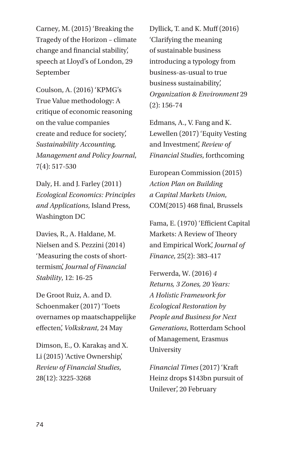Carney, M. (2015) 'Breaking the Tragedy of the Horizon – climate change and financial stability', speech at Lloyd's of London, 29 September

Coulson, A. (2016) 'KPMG's True Value methodology: A critique of economic reasoning on the value companies create and reduce for society', *Sustainability Accounting, Management and Policy Journal*, 7(4): 517-530

Daly, H. and J. Farley (2011) *Ecological Economics: Principles and Applications*, Island Press, Washington DC

Davies, R., A. Haldane, M. Nielsen and S. Pezzini (2014) 'Measuring the costs of shorttermism', *Journal of Financial Stability*, 12: 16-25

De Groot Ruiz, A. and D. Schoenmaker (2017) 'Toets overnames op maatschappelijke effecten', *Volkskrant*, 24 May

Dimson, E., O. Karakaş and X. Li (2015) 'Active Ownership', *Review of Financial Studies*, 28(12): 3225-3268

Dyllick, T. and K. Muff (2016) 'Clarifying the meaning of sustainable business introducing a typology from business-as-usual to true business sustainability', *Organization & Environment* 29 (2): 156-74

Edmans, A., V. Fang and K. Lewellen (2017) 'Equity Vesting and Investment', *Review of Financial Studies*, forthcoming

European Commission (2015) *Action Plan on Building a Capital Markets Union*, COM(2015) 468 final, Brussels

Fama, E. (1970) 'Efficient Capital Markets: A Review of Theory and Empirical Work', *Journal of Finance*, 25(2): 383-417

Ferwerda, W. (2016) *4 Returns, 3 Zones, 20 Years: A Holistic Framework for Ecological Restoration by People and Business for Next Generations*, Rotterdam School of Management, Erasmus University

*Financial Times* (2017) 'Kraft Heinz drops \$143bn pursuit of Unilever', 20 February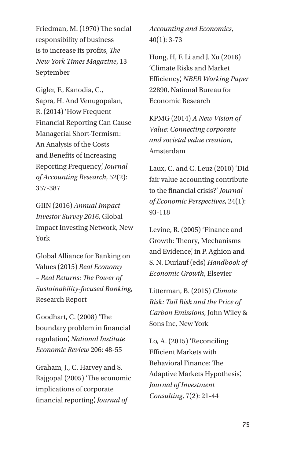Friedman, M. (1970) The social responsibility of business is to increase its profits, *The New York Times Magazine*, 13 September

Gigler, F., Kanodia, C., Sapra, H. And Venugopalan, R. (2014) 'How Frequent Financial Reporting Can Cause Managerial Short-Termism: An Analysis of the Costs and Benefits of Increasing Reporting Frequency', *Journal of Accounting Research*, 52(2): 357-387

GIIN (2016) *Annual Impact Investor Survey 2016*, Global Impact Investing Network, New York

Global Alliance for Banking on Values (2015) *Real Economy – Real Returns: The Power of Sustainability-focused Banking*, Research Report

Goodhart, C. (2008) 'The boundary problem in financial regulation', *National Institute Economic Review* 206: 48-55

Graham, J., C. Harvey and S. Rajgopal (2005) 'The economic implications of corporate financial reporting', *Journal of* 

*Accounting and Economics*, 40(1): 3-73

Hong, H, F. Li and J. Xu (2016) 'Climate Risks and Market Efficiency', *NBER Working Paper* 22890, National Bureau for Economic Research

KPMG (2014) *A New Vision of Value: Connecting corporate and societal value creation*, Amsterdam

Laux, C. and C. Leuz (2010) 'Did fair value accounting contribute to the financial crisis?' *Journal of Economic Perspectives*, 24(1): 93-118

Levine, R. (2005) 'Finance and Growth: Theory, Mechanisms and Evidence', in P. Aghion and S. N. Durlauf (eds) *Handbook of Economic Growth*, Elsevier

Litterman, B. (2015) *Climate Risk: Tail Risk and the Price of Carbon Emissions*, John Wiley & Sons Inc, New York

Lo, A. (2015) 'Reconciling Efficient Markets with Behavioral Finance: The Adaptive Markets Hypothesis', *Journal of Investment Consulting*, 7(2): 21-44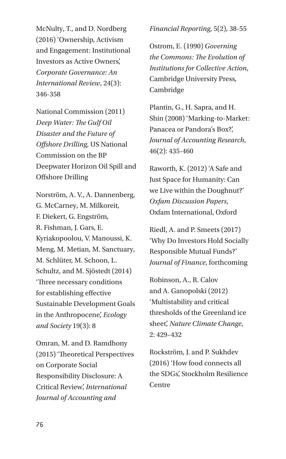McNulty, T., and D. Nordberg (2016) 'Ownership, Activism and Engagement: Institutional Investors as Active Owners', *Corporate Governance: An International Review*, 24(3): 346-358

National Commission (2011) *Deep Water: The Gulf Oil Disaster and the Future of Offshore Drilling*, US National Commission on the BP Deepwater Horizon Oil Spill and Offshore Drilling

Norström, A. V., A. Dannenberg, G. McCarney, M. Milkoreit, F. Diekert, G. Engström, R. Fishman, J. Gars, E. Kyriakopoolou, V. Manoussi, K. Meng, M. Metian, M. Sanctuary, M. Schlüter, M. Schoon, L. Schultz, and M. Sjöstedt (2014) 'Three necessary conditions for establishing effective Sustainable Development Goals in the Anthropocene', *Ecology and Society* 19(3): 8

Omran, M. and D. Ramdhony (2015) 'Theoretical Perspectives on Corporate Social Responsibility Disclosure: A Critical Review', *International Journal of Accounting and* 

*Financial Reporting*, 5(2), 38-55

Ostrom, E. (1990) *Governing the Commons: The Evolution of Institutions for Collective Action*, Cambridge University Press, Cambridge

Plantin, G., H. Sapra, and H. Shin (2008) 'Marking-to-Market: Panacea or Pandora's Box?', *Journal of Accounting Research*, 46(2): 435-460

Raworth, K. (2012) 'A Safe and Just Space for Humanity: Can we Live within the Doughnut?' *Oxfam Discussion Papers*, Oxfam International, Oxford

Riedl, A. and P. Smeets (2017) 'Why Do Investors Hold Socially Responsible Mutual Funds?' *Journal of Finance*, forthcoming

Robinson, A., R. Calov and A. Ganopolski (2012) 'Multistability and critical thresholds of the Greenland ice sheet', *Nature Climate Change*, 2: 429–432

Rockström, J. and P. Sukhdev (2016) 'How food connects all the SDGs', Stockholm Resilience Centre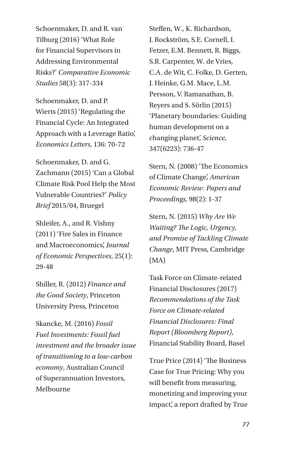Schoenmaker, D. and R. van Tilburg (2016) 'What Role for Financial Supervisors in Addressing Environmental Risks?' *Comparative Economic Studies* 58(3): 317-334

Schoenmaker, D. and P. Wierts (2015) 'Regulating the Financial Cycle: An Integrated Approach with a Leverage Ratio', *Economics Letters*, 136: 70-72

Schoenmaker, D. and G. Zachmann (2015) 'Can a Global Climate Risk Pool Help the Most Vulnerable Countries?' *Policy Brief* 2015/04, Bruegel

Shleifer, A., and R. Vishny (2011) 'Fire Sales in Finance and Macroeconomics', *Journal of Economic Perspectives*, 25(1): 29-48

Shiller, R. (2012) *Finance and the Good Society*, Princeton University Press, Princeton

Skancke, M. (2016) *Fossil Fuel Investments: Fossil fuel investment and the broader issue of transitioning to a low-carbon economy*, Australian Council of Superannuation Investors, Melbourne

Steffen, W., K. Richardson, J. Rockström, S.E. Cornell, I. Fetzer, E.M. Bennett, R. Biggs, S.R. Carpenter, W. de Vries, C.A. de Wit, C. Folke, D. Gerten, J. Heinke, G.M. Mace, L.M. Persson, V. Ramanathan, B. Reyers and S. Sörlin (2015) 'Planetary boundaries: Guiding human development on a changing planet', *Science*, 347(6223): 736-47

Stern, N. (2008) 'The Economics of Climate Change', *American Economic Review: Papers and Proceedings,* 98(2): 1-37

Stern, N. (2015) *Why Are We Waiting? The Logic, Urgency, and Promise of Tackling Climate Change*, MIT Press, Cambridge (MA)

Task Force on Climate-related Financial Disclosures (2017) *Recommendations of the Task Force on Climate-related Financial Disclosures: Final Report (Bloomberg Report)*, Financial Stability Board, Basel

True Price (2014) 'The Business Case for True Pricing: Why you will benefit from measuring, monetizing and improving your impact', a report drafted by True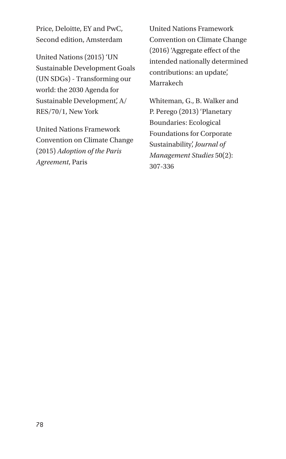Price, Deloitte, EY and PwC, Second edition, Amsterdam

United Nations (2015) 'UN Sustainable Development Goals (UN SDGs) - Transforming our world: the 2030 Agenda for Sustainable Development', A/ RES/70/1, New York

United Nations Framework Convention on Climate Change (2015) *Adoption of the Paris Agreement*, Paris

United Nations Framework Convention on Climate Change (2016) 'Aggregate effect of the intended nationally determined contributions: an update', Marrakech

Whiteman, G., B. Walker and P. Perego (2013) 'Planetary Boundaries: Ecological Foundations for Corporate Sustainability', *Journal of Management Studies* 50(2): 307-336